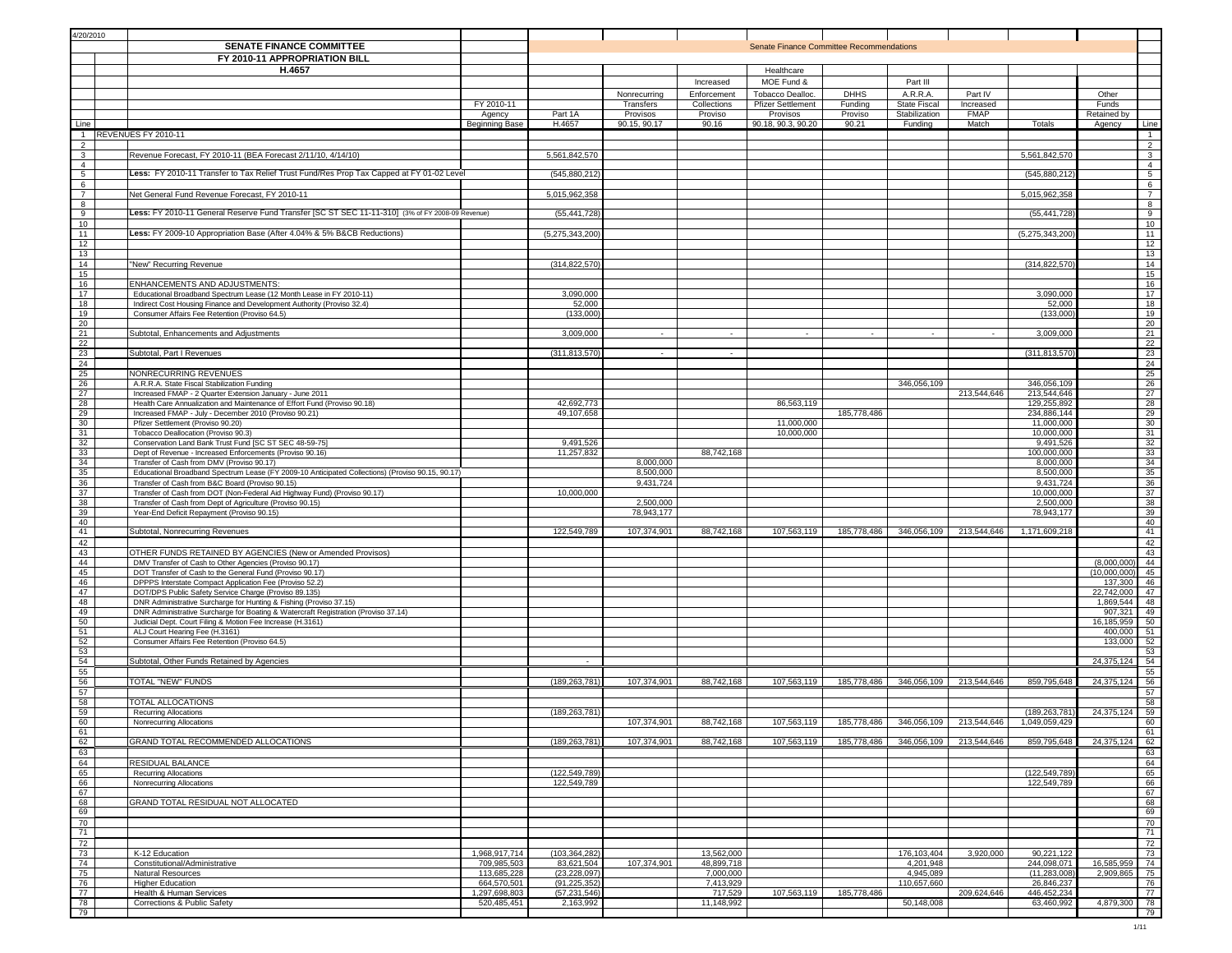| 4/20/2010                                  |                                                                                                                                                          |                            |                                  |                           |                            |                                                 |                        |                                 |                                     |                              |                             |                                               |
|--------------------------------------------|----------------------------------------------------------------------------------------------------------------------------------------------------------|----------------------------|----------------------------------|---------------------------|----------------------------|-------------------------------------------------|------------------------|---------------------------------|-------------------------------------|------------------------------|-----------------------------|-----------------------------------------------|
|                                            | <b>SENATE FINANCE COMMITTEE</b><br>FY 2010-11 APPROPRIATION BILL                                                                                         |                            |                                  |                           |                            | <b>Senate Finance Committee Recommendations</b> |                        |                                 |                                     |                              |                             |                                               |
|                                            | H.4657                                                                                                                                                   |                            |                                  |                           |                            | Healthcare                                      |                        |                                 |                                     |                              |                             |                                               |
|                                            |                                                                                                                                                          |                            |                                  |                           | Increased                  | MOE Fund &                                      |                        | Part III                        |                                     |                              |                             |                                               |
|                                            |                                                                                                                                                          | FY 2010-11                 |                                  | Nonrecurring<br>Transfers | Enforcement<br>Collections | Tobacco Dealloc.<br><b>Pfizer Settlement</b>    | <b>DHHS</b><br>Funding | A.R.R.A.<br><b>State Fiscal</b> | Part IV<br>Increased                |                              | Other<br>Funds              |                                               |
|                                            |                                                                                                                                                          | Agency                     | Part 1A                          | Provisos                  | Proviso                    | Provisos                                        | Proviso                | Stabilization                   | <b>FMAP</b>                         |                              | Retained by                 |                                               |
| Line                                       |                                                                                                                                                          | <b>Beginning Base</b>      | H.4657                           | 90.15, 90.17              | 90.16                      | 90.18, 90.3, 90.20                              | 90.21                  | Funding                         | Match                               | Totals                       | Agency                      | Line                                          |
| $\mathbf{1}$                               | REVENUES FY 2010-11                                                                                                                                      |                            |                                  |                           |                            |                                                 |                        |                                 |                                     |                              |                             | $\overline{1}$                                |
| $\begin{array}{c} 2 \\ 3 \\ 4 \end{array}$ | Revenue Forecast, FY 2010-11 (BEA Forecast 2/11/10, 4/14/10)                                                                                             |                            | 5,561,842,570                    |                           |                            |                                                 |                        |                                 |                                     | 5,561,842,570                |                             | $rac{2}{3}$                                   |
| 5                                          | Less: FY 2010-11 Transfer to Tax Relief Trust Fund/Res Prop Tax Capped at FY 01-02 Level                                                                 |                            | (545, 880, 212)                  |                           |                            |                                                 |                        |                                 |                                     | (545,880,212                 |                             | $\overline{4}$<br>$5\overline{)}$             |
| 6                                          |                                                                                                                                                          |                            |                                  |                           |                            |                                                 |                        |                                 |                                     |                              |                             | 6                                             |
| $\overline{7}$                             | Net General Fund Revenue Forecast. FY 2010-11                                                                                                            |                            | 5,015,962,358                    |                           |                            |                                                 |                        |                                 |                                     | 5,015,962,358                |                             | $7\overline{ }$                               |
| 8<br>$\overline{9}$                        | Less: FY 2010-11 General Reserve Fund Transfer [SC ST SEC 11-11-310] (3% of FY 2008-09 Revenue)                                                          |                            | (55, 441, 728)                   |                           |                            |                                                 |                        |                                 |                                     | (55,441,728                  |                             | 8<br>$\overline{9}$                           |
| 10                                         | Less: FY 2009-10 Appropriation Base (After 4.04% & 5% B&CB Reductions)                                                                                   |                            |                                  |                           |                            |                                                 |                        |                                 |                                     |                              |                             | 10                                            |
| 11<br>12                                   |                                                                                                                                                          |                            | (5,275,343,200)                  |                           |                            |                                                 |                        |                                 |                                     | (5,275,343,200)              |                             | 11<br>12                                      |
| 13                                         |                                                                                                                                                          |                            |                                  |                           |                            |                                                 |                        |                                 |                                     |                              |                             | 13                                            |
| 14<br>15                                   | "New" Recurring Revenue                                                                                                                                  |                            | (314,822,570                     |                           |                            |                                                 |                        |                                 |                                     | (314,822,570                 |                             | 14<br>15                                      |
| 16                                         | ENHANCEMENTS AND ADJUSTMENTS:                                                                                                                            |                            |                                  |                           |                            |                                                 |                        |                                 |                                     |                              |                             | 16                                            |
| 17<br>18                                   | Educational Broadband Spectrum Lease (12 Month Lease in FY 2010-11)<br>Indirect Cost Housing Finance and Development Authority (Proviso 32.4)            |                            | 3,090,000<br>52,000              |                           |                            |                                                 |                        |                                 |                                     | 3,090,000<br>52,000          |                             | 17<br>18                                      |
| 19                                         | Consumer Affairs Fee Retention (Proviso 64.5)                                                                                                            |                            | (133,000)                        |                           |                            |                                                 |                        |                                 |                                     | (133,000)                    |                             | 19                                            |
| 20<br>21                                   |                                                                                                                                                          |                            | 3,009,000                        | $\sim$                    | $\sim$                     | $\sim$                                          | $\sim$                 | $\sim$                          | $\sim$                              | 3,009,000                    |                             | 20<br>21                                      |
|                                            | Subtotal, Enhancements and Adjustments                                                                                                                   |                            |                                  |                           |                            |                                                 |                        |                                 |                                     |                              |                             | 22                                            |
| $\frac{22}{23}$                            | Subtotal, Part I Revenues                                                                                                                                |                            | (311, 813, 570)                  |                           |                            |                                                 |                        |                                 |                                     | (311,813,570)                |                             | 23                                            |
| $\frac{24}{25}$                            | NONRECURRING REVENUES                                                                                                                                    |                            |                                  |                           |                            |                                                 |                        |                                 |                                     |                              |                             | $\begin{array}{r} 24 \\ 25 \\ 26 \end{array}$ |
| 26                                         | A.R.R.A. State Fiscal Stabilization Funding                                                                                                              |                            |                                  |                           |                            |                                                 |                        | 346,056,109                     |                                     | 346,056,109                  |                             |                                               |
| 27<br>28                                   | Increased FMAP - 2 Quarter Extension January - June 2011<br>Health Care Annualization and Maintenance of Effort Fund (Proviso 90.18)                     |                            | 42,692,773                       |                           |                            | 86,563,119                                      |                        |                                 | 213,544,646                         | 213,544,646<br>129,255,892   |                             | 27<br>28                                      |
| $\frac{29}{30}$                            | Increased FMAP - July - December 2010 (Proviso 90.21)                                                                                                    |                            | 49,107,658                       |                           |                            |                                                 | 185,778,486            |                                 |                                     | 234,886,144                  |                             | $\frac{29}{30}$                               |
|                                            | Pfizer Settlement (Proviso 90.20)                                                                                                                        |                            |                                  |                           |                            | 11,000,000                                      |                        |                                 |                                     | 11,000,000                   |                             |                                               |
| 31                                         | Tobacco Deallocation (Proviso 90.3)<br>Conservation Land Bank Trust Fund [SC ST SEC 48-59-75]                                                            |                            | 9,491,526                        |                           |                            | 10,000,000                                      |                        |                                 |                                     | 10,000,000<br>9,491,526      |                             | 31<br>32                                      |
| $\frac{32}{33}$ $\frac{33}{34}$            | Dept of Revenue - Increased Enforcements (Proviso 90.16)                                                                                                 |                            | 11,257,832                       |                           | 88,742,168                 |                                                 |                        |                                 |                                     | 100,000,000                  |                             | 33                                            |
| 35                                         | Transfer of Cash from DMV (Proviso 90.17)<br>Educational Broadband Spectrum Lease (FY 2009-10 Anticipated Collections) (Proviso 90.15, 90.17)            |                            |                                  | 8,000,000<br>8,500,000    |                            |                                                 |                        |                                 |                                     | 8,000,000<br>8,500,000       |                             | 34<br>35                                      |
| 36                                         | Transfer of Cash from B&C Board (Proviso 90.15)                                                                                                          |                            |                                  | 9,431,724                 |                            |                                                 |                        |                                 |                                     | 9,431,724                    |                             | 36                                            |
| 37                                         | Transfer of Cash from DOT (Non-Federal Aid Highway Fund) (Proviso 90.17)                                                                                 |                            | 10,000,000                       |                           |                            |                                                 |                        |                                 |                                     | 10,000,000                   |                             | 37                                            |
| 38<br>39                                   | Transfer of Cash from Dept of Agriculture (Proviso 90.15)<br>Year-End Deficit Repayment (Proviso 90.15)                                                  |                            |                                  | 2,500,000<br>78,943,177   |                            |                                                 |                        |                                 |                                     | 2,500,000<br>78,943,177      |                             | 38<br>39                                      |
| 40                                         |                                                                                                                                                          |                            |                                  |                           |                            |                                                 |                        |                                 |                                     |                              |                             | 40                                            |
| 41<br>42                                   | Subtotal, Nonrecurring Revenues                                                                                                                          |                            | 122,549,789                      | 107,374,901               | 88,742,168                 | 107,563,119                                     | 185,778,486            | 346,056,109                     | 213,544,646                         | 1,171,609,218                |                             | 41<br>42                                      |
| 43                                         | OTHER FUNDS RETAINED BY AGENCIES (New or Amended Provisos)                                                                                               |                            |                                  |                           |                            |                                                 |                        |                                 |                                     |                              |                             | 43                                            |
| 44<br>45                                   | DMV Transfer of Cash to Other Agencies (Proviso 90.17)<br>DOT Transfer of Cash to the General Fund (Proviso 90.17)                                       |                            |                                  |                           |                            |                                                 |                        |                                 |                                     |                              | (8,000,000)<br>(10,000,000) | 44<br>45                                      |
| 46                                         | DPPPS Interstate Compact Application Fee (Proviso 52.2)                                                                                                  |                            |                                  |                           |                            |                                                 |                        |                                 |                                     |                              | 137,300                     | 46                                            |
| 47                                         | DOT/DPS Public Safety Service Charge (Proviso 89.135)                                                                                                    |                            |                                  |                           |                            |                                                 |                        |                                 |                                     |                              | 22,742,000                  | 47                                            |
| 48<br>49                                   | DNR Administrative Surcharge for Hunting & Fishing (Proviso 37.15)<br>DNR Administrative Surcharge for Boating & Watercraft Registration (Proviso 37.14) |                            |                                  |                           |                            |                                                 |                        |                                 |                                     |                              | 1,869,544<br>907,321        | 48<br>49                                      |
| 50                                         | Judicial Dept. Court Filing & Motion Fee Increase (H.3161)                                                                                               |                            |                                  |                           |                            |                                                 |                        |                                 |                                     |                              | 16, 185, 959                | 50                                            |
| 51<br>52                                   | ALJ Court Hearing Fee (H.3161)<br>Consumer Affairs Fee Retention (Proviso 64.5)                                                                          |                            |                                  |                           |                            |                                                 |                        |                                 |                                     |                              | 400,000<br>133,000          | 51<br>52                                      |
| $\frac{53}{54}$                            |                                                                                                                                                          |                            |                                  |                           |                            |                                                 |                        |                                 |                                     |                              |                             | 53                                            |
|                                            | Subtotal, Other Funds Retained by Agencies                                                                                                               |                            | $\cdot$                          |                           |                            |                                                 |                        |                                 |                                     |                              | 24,375,124                  | 54<br>55                                      |
| $\frac{55}{56}$                            | TOTAL "NEW" FUNDS                                                                                                                                        |                            | (189, 263, 781)                  | 107,374,901               | 88,742,168                 | 107,563,119                                     |                        |                                 | 185,778,486 346,056,109 213,544,646 | 859,795,648                  | 24,375,124                  | 56                                            |
| 57                                         |                                                                                                                                                          |                            |                                  |                           |                            |                                                 |                        |                                 |                                     |                              |                             | 57                                            |
| 58<br>59                                   | TOTAL ALLOCATIONS<br>Recurring Allocations                                                                                                               |                            | (189, 263, 781)                  |                           |                            |                                                 |                        |                                 |                                     | (189, 263, 781)              | 24,375,124                  | 58<br>59                                      |
| 60                                         | Nonrecurring Allocations                                                                                                                                 |                            |                                  | 107 374 901               | 88.742.168                 | 107.563.119                                     |                        |                                 | 185 778 486 346 056 109 713 544 646 | 1.049.059.429                |                             | 60                                            |
| 61<br>62                                   | GRAND TOTAL RECOMMENDED ALLOCATIONS                                                                                                                      |                            | (189, 263, 781)                  | 107,374,901               | 88,742,168                 | 107,563,119                                     | 185,778,486            | 346,056,109                     | 213,544,646                         | 859,795,648                  | 24,375,124                  | 61<br>62                                      |
| 63                                         |                                                                                                                                                          |                            |                                  |                           |                            |                                                 |                        |                                 |                                     |                              |                             | 63                                            |
| 64                                         | RESIDUAL BALANCE                                                                                                                                         |                            |                                  |                           |                            |                                                 |                        |                                 |                                     |                              |                             | 64                                            |
| 65<br>66                                   | <b>Recurring Allocations</b><br>Nonrecurring Allocations                                                                                                 |                            | (122,549,789<br>122,549,789      |                           |                            |                                                 |                        |                                 |                                     | (122,549,789<br>122,549,789  |                             | 65<br>66                                      |
| 67                                         |                                                                                                                                                          |                            |                                  |                           |                            |                                                 |                        |                                 |                                     |                              |                             | 67                                            |
| 68<br>69                                   | GRAND TOTAL RESIDUAL NOT ALLOCATED                                                                                                                       |                            |                                  |                           |                            |                                                 |                        |                                 |                                     |                              |                             | 68<br>69                                      |
| 70                                         |                                                                                                                                                          |                            |                                  |                           |                            |                                                 |                        |                                 |                                     |                              |                             | 70                                            |
| 71                                         |                                                                                                                                                          |                            |                                  |                           |                            |                                                 |                        |                                 |                                     |                              |                             | 71<br>72                                      |
| 72<br>73                                   | K-12 Education                                                                                                                                           | 1,968,917,71               | (103,364,282                     |                           | 13,562,000                 |                                                 |                        | 176,103,404                     | 3,920,000                           | 90,221,122                   |                             | 73                                            |
| 74                                         | Constitutional/Administrative                                                                                                                            | 709,985,503                | 83,621,504                       | 107,374,901               | 48,899,718                 |                                                 |                        | 4,201,948                       |                                     | 244,098,071                  | 16,585,959                  | 74                                            |
| 75<br>76                                   | <b>Natural Resources</b><br><b>Higher Education</b>                                                                                                      | 113,685,228<br>664,570,501 | (23, 228, 097)<br>(91, 225, 352) |                           | 7,000,000<br>7,413,929     |                                                 |                        | 4,945,089<br>110,657,660        |                                     | (11, 283, 008)<br>26,846,237 | 2,909,865                   | 75<br>76                                      |
| 77                                         | <b>Health &amp; Human Services</b>                                                                                                                       | 1,297,698,803              | (57, 231, 546)                   |                           | 717,529                    | 107,563,119                                     | 185,778,486            |                                 | 209,624,646                         | 446,452,234                  |                             | 77                                            |
| 78<br>79                                   | Corrections & Public Safety                                                                                                                              | 520,485,451                | 2,163,992                        |                           | 11,148,992                 |                                                 |                        | 50,148,008                      |                                     | 63,460,992                   | 4,879,300                   | 78<br>79                                      |
|                                            |                                                                                                                                                          |                            |                                  |                           |                            |                                                 |                        |                                 |                                     |                              |                             |                                               |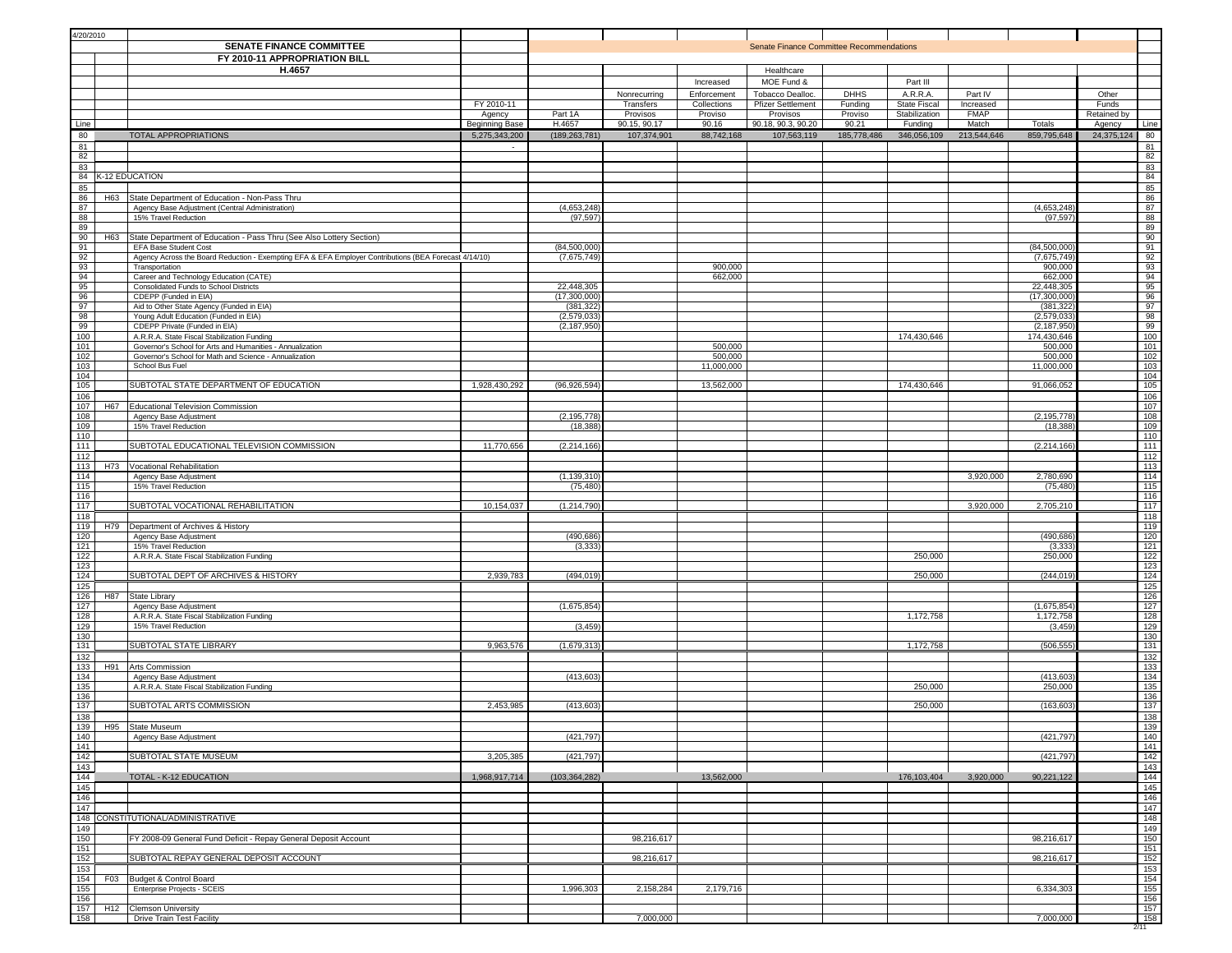| 4/20/2010                           |     | <b>SENATE FINANCE COMMITTEE</b><br>FY 2010-11 APPROPRIATION BILL                                                        |                       |                            |                                       |                                                    | Senate Finance Committee Recommendations                                             |                                   |                                                              |                                     |                            |                               |                   |
|-------------------------------------|-----|-------------------------------------------------------------------------------------------------------------------------|-----------------------|----------------------------|---------------------------------------|----------------------------------------------------|--------------------------------------------------------------------------------------|-----------------------------------|--------------------------------------------------------------|-------------------------------------|----------------------------|-------------------------------|-------------------|
|                                     |     | H.4657                                                                                                                  | FY 2010-11<br>Agency  | Part 1A                    | Nonrecurring<br>Transfers<br>Provisos | Increased<br>Enforcement<br>Collections<br>Proviso | Healthcare<br>MOE Fund &<br>Tobacco Dealloc.<br><b>Pfizer Settlement</b><br>Provisos | <b>DHHS</b><br>Funding<br>Proviso | Part III<br>A.R.R.A.<br><b>State Fiscal</b><br>Stabilization | Part IV<br>Increased<br><b>FMAP</b> |                            | Other<br>Funds<br>Retained by |                   |
| Line                                |     |                                                                                                                         | <b>Beginning Base</b> | H.4657                     | 90.15, 90.17                          | 90.16                                              | 90.18, 90.3, 90.20                                                                   | 90.21                             | Funding                                                      | Match                               | Totals                     | Agency                        | Line              |
| 80<br>81                            |     | TOTAL APPROPRIATIONS                                                                                                    | 5,275,343,200         | (189, 263, 781)            | 107,374,901                           | 88,742,168                                         | 107,563,119                                                                          | 185,778,486                       | 346,056,109                                                  | 213,544,646                         | 859,795,648                | 24,375,124                    | 80<br>81          |
| 82<br>83                            |     |                                                                                                                         |                       |                            |                                       |                                                    |                                                                                      |                                   |                                                              |                                     |                            |                               | 82<br>83          |
|                                     |     | 84 K-12 EDUCATION                                                                                                       |                       |                            |                                       |                                                    |                                                                                      |                                   |                                                              |                                     |                            |                               | 84                |
| 85<br>86                            |     | H63 State Department of Education - Non-Pass Thru                                                                       |                       |                            |                                       |                                                    |                                                                                      |                                   |                                                              |                                     |                            |                               | 85<br>86          |
| 87<br>88                            |     | Agency Base Adjustment (Central Administration)<br>15% Travel Reduction                                                 |                       | (4,653,248)<br>(97, 597)   |                                       |                                                    |                                                                                      |                                   |                                                              |                                     | (4,653,248)<br>(97, 597)   |                               | 87<br>88          |
| 89                                  |     |                                                                                                                         |                       |                            |                                       |                                                    |                                                                                      |                                   |                                                              |                                     |                            |                               | 89                |
| 90<br>91                            | H63 | State Department of Education - Pass Thru (See Also Lottery Section)<br>EFA Base Student Cost                           |                       | (84,500,000)               |                                       |                                                    |                                                                                      |                                   |                                                              |                                     | (84,500,000)               |                               | 90<br>91          |
| 92<br>93                            |     | Agency Across the Board Reduction - Exempting EFA & EFA Employer Contributions (BEA Forecast 4/14/10)<br>Transportation |                       | (7,675,749)                |                                       | 900,000                                            |                                                                                      |                                   |                                                              |                                     | (7,675,749)<br>900,000     |                               | 92<br>93          |
| 94                                  |     | Career and Technology Education (CATE)                                                                                  |                       |                            |                                       | 662,000                                            |                                                                                      |                                   |                                                              |                                     | 662,000                    |                               | 94                |
| 95<br>96                            |     | Consolidated Funds to School Districts<br>CDEPP (Funded in EIA)                                                         |                       | 22,448,305<br>(17,300,000  |                                       |                                                    |                                                                                      |                                   |                                                              |                                     | 22,448,305<br>(17,300,000  |                               | 95<br>96          |
| 97<br>98                            |     | Aid to Other State Agency (Funded in EIA)<br>Young Adult Education (Funded in EIA)                                      |                       | (381, 322)<br>(2,579,033)  |                                       |                                                    |                                                                                      |                                   |                                                              |                                     | (381, 322)<br>(2,579,033)  |                               | 97<br>98          |
| 99                                  |     | CDEPP Private (Funded in EIA)                                                                                           |                       | (2, 187, 950)              |                                       |                                                    |                                                                                      |                                   |                                                              |                                     | (2, 187, 950)              |                               | $\frac{99}{100}$  |
| 100<br>101                          |     | A.R.R.A. State Fiscal Stabilization Funding<br>Governor's School for Arts and Humanities - Annualization                |                       |                            |                                       | 500,000                                            |                                                                                      |                                   | 174,430,646                                                  |                                     | 174.430.646<br>500,000     |                               | 101               |
| 102<br>103                          |     | Governor's School for Math and Science - Annualization<br>School Bus Fuel                                               |                       |                            |                                       | 500,000<br>11,000,000                              |                                                                                      |                                   |                                                              |                                     | 500,000<br>11,000,000      |                               | 102<br>103        |
| 104                                 |     |                                                                                                                         |                       |                            |                                       |                                                    |                                                                                      |                                   |                                                              |                                     |                            |                               | 104               |
| 105<br>106                          |     | SUBTOTAL STATE DEPARTMENT OF EDUCATION                                                                                  | 1,928,430,292         | (96, 926, 594)             |                                       | 13,562,000                                         |                                                                                      |                                   | 174,430,646                                                  |                                     | 91,066,052                 |                               | 105<br>106        |
| 107                                 |     | H67 Educational Television Commission                                                                                   |                       |                            |                                       |                                                    |                                                                                      |                                   |                                                              |                                     |                            |                               | 107               |
| 108<br>109                          |     | Agency Base Adjustment<br>15% Travel Reduction                                                                          |                       | (2, 195, 778)<br>(18, 388) |                                       |                                                    |                                                                                      |                                   |                                                              |                                     | (2, 195, 778)<br>(18, 388) |                               | 108<br>109        |
| 110<br>111                          |     | SUBTOTAL EDUCATIONAL TELEVISION COMMISSION                                                                              | 11,770,656            | (2, 214, 166)              |                                       |                                                    |                                                                                      |                                   |                                                              |                                     | (2, 214, 166)              |                               | 110<br>111        |
| 112                                 |     |                                                                                                                         |                       |                            |                                       |                                                    |                                                                                      |                                   |                                                              |                                     |                            |                               | $112$             |
| 113<br>114                          | H73 | Vocational Rehabilitation<br>Agency Base Adjustment                                                                     |                       | (1, 139, 310)              |                                       |                                                    |                                                                                      |                                   |                                                              | 3,920,000                           | 2,780,690                  |                               | 113<br>114        |
| 115<br>116                          |     | 15% Travel Reduction                                                                                                    |                       | (75, 480)                  |                                       |                                                    |                                                                                      |                                   |                                                              |                                     | (75, 480)                  |                               | $115$<br>116      |
| 117                                 |     | SUBTOTAL VOCATIONAL REHABILITATION                                                                                      | 10,154,037            | (1, 214, 790)              |                                       |                                                    |                                                                                      |                                   |                                                              | 3,920,000                           | 2,705,210                  |                               | 117               |
| 118<br>119                          | H79 | Department of Archives & History                                                                                        |                       |                            |                                       |                                                    |                                                                                      |                                   |                                                              |                                     |                            |                               | 118<br>119        |
| 120<br>121                          |     | Agency Base Adjustment<br>15% Travel Reduction                                                                          |                       | (490,686<br>(3, 333)       |                                       |                                                    |                                                                                      |                                   |                                                              |                                     | (490,686                   |                               | 120<br>121        |
| 122                                 |     | A.R.R.A. State Fiscal Stabilization Funding                                                                             |                       |                            |                                       |                                                    |                                                                                      |                                   | 250,000                                                      |                                     | (3, 333)<br>250,000        |                               | 122               |
| 123<br>124                          |     | SUBTOTAL DEPT OF ARCHIVES & HISTORY                                                                                     | 2,939,783             | (494, 019)                 |                                       |                                                    |                                                                                      |                                   | 250,000                                                      |                                     | (244, 019)                 |                               | 123<br>124        |
| 125<br>126                          | H87 | State Library                                                                                                           |                       |                            |                                       |                                                    |                                                                                      |                                   |                                                              |                                     |                            |                               | 125<br>126        |
| $127$                               |     | Agency Base Adjustment                                                                                                  |                       | (1,675,854)                |                                       |                                                    |                                                                                      |                                   |                                                              |                                     | (1,675,854)                |                               | 127               |
| 128<br>129                          |     | A.R.R.A. State Fiscal Stabilization Funding<br>15% Travel Reduction                                                     |                       | (3, 459)                   |                                       |                                                    |                                                                                      |                                   | 1,172,758                                                    |                                     | 1,172,758<br>(3, 459)      |                               | $\frac{128}{129}$ |
| 130<br>131                          |     | SUBTOTAL STATE LIBRARY                                                                                                  | 9,963,576             | (1,679,313)                |                                       |                                                    |                                                                                      |                                   | 1,172,758                                                    |                                     | (506, 555)                 |                               | 130<br>131        |
| 132                                 |     |                                                                                                                         |                       |                            |                                       |                                                    |                                                                                      |                                   |                                                              |                                     |                            |                               | $132$             |
| 133<br>134                          | H91 | Arts Commission<br>Agency Base Adjustment                                                                               |                       | (413, 603)                 |                                       |                                                    |                                                                                      |                                   |                                                              |                                     | (413, 603)                 |                               | 133<br>134        |
| 135<br>136                          |     | A.R.R.A. State Fiscal Stabilization Funding                                                                             |                       |                            |                                       |                                                    |                                                                                      |                                   | 250,000                                                      |                                     | 250,000                    |                               | 135<br>136        |
| 137                                 |     | SUBTOTAL ARTS COMMISSION                                                                                                | 2,453,985             | (413,603)                  |                                       |                                                    |                                                                                      |                                   | 250,000                                                      |                                     | (163, 603)                 |                               | 137               |
| 138                                 |     |                                                                                                                         |                       |                            |                                       |                                                    |                                                                                      |                                   |                                                              |                                     |                            |                               | 138<br>139        |
|                                     |     | 139 H95 State Museum<br>140 Agency Base A<br>141<br>Agency Base Adjustment                                              |                       | (421, 797)                 |                                       |                                                    |                                                                                      |                                   |                                                              |                                     | (421, 797)                 |                               | 140<br>$141$      |
|                                     |     | SUBTOTAL STATE MUSEUM                                                                                                   | 3,205,385             | (421, 797)                 |                                       |                                                    |                                                                                      |                                   |                                                              |                                     | (421, 797)                 |                               | $142$             |
| $\frac{142}{143}$ $\frac{143}{144}$ |     | TOTAL - K-12 EDUCATION                                                                                                  | 1,968,917,714         | (103, 364, 282)            |                                       | 13,562,000                                         |                                                                                      |                                   | 176,103,404                                                  | 3,920,000                           | 90,221,122                 |                               | 143<br>144        |
| 145<br>146                          |     |                                                                                                                         |                       |                            |                                       |                                                    |                                                                                      |                                   |                                                              |                                     |                            |                               | $145$<br>146      |
| 147                                 |     |                                                                                                                         |                       |                            |                                       |                                                    |                                                                                      |                                   |                                                              |                                     |                            |                               | 147               |
| 149                                 |     | 148 CONSTITUTIONAL/ADMINISTRATIVE                                                                                       |                       |                            |                                       |                                                    |                                                                                      |                                   |                                                              |                                     |                            |                               | 148<br>149        |
| 150                                 |     | FY 2008-09 General Fund Deficit - Repay General Deposit Account                                                         |                       |                            | 98,216,617                            |                                                    |                                                                                      |                                   |                                                              |                                     | 98,216,617                 |                               | 150               |
| 151<br>152                          |     | SUBTOTAL REPAY GENERAL DEPOSIT ACCOUNT                                                                                  |                       |                            | 98,216,617                            |                                                    |                                                                                      |                                   |                                                              |                                     | 98,216,617                 |                               | 151<br>$152$      |
| 153<br>154                          |     | F03 Budget & Control Board                                                                                              |                       |                            |                                       |                                                    |                                                                                      |                                   |                                                              |                                     |                            |                               | 153<br>154        |
| 155                                 |     | Enterprise Projects - SCEIS                                                                                             |                       | 1,996,303                  | 2,158,284                             | 2,179,716                                          |                                                                                      |                                   |                                                              |                                     | 6,334,303                  |                               | $\frac{155}{156}$ |
| 156<br>157                          |     | H12 Clemson University                                                                                                  |                       |                            |                                       |                                                    |                                                                                      |                                   |                                                              |                                     |                            |                               | 157               |
| 158                                 |     | <b>Drive Train Test Facility</b>                                                                                        |                       |                            | 7,000,000                             |                                                    |                                                                                      |                                   |                                                              |                                     | 7,000,000                  |                               | 158<br>2/11       |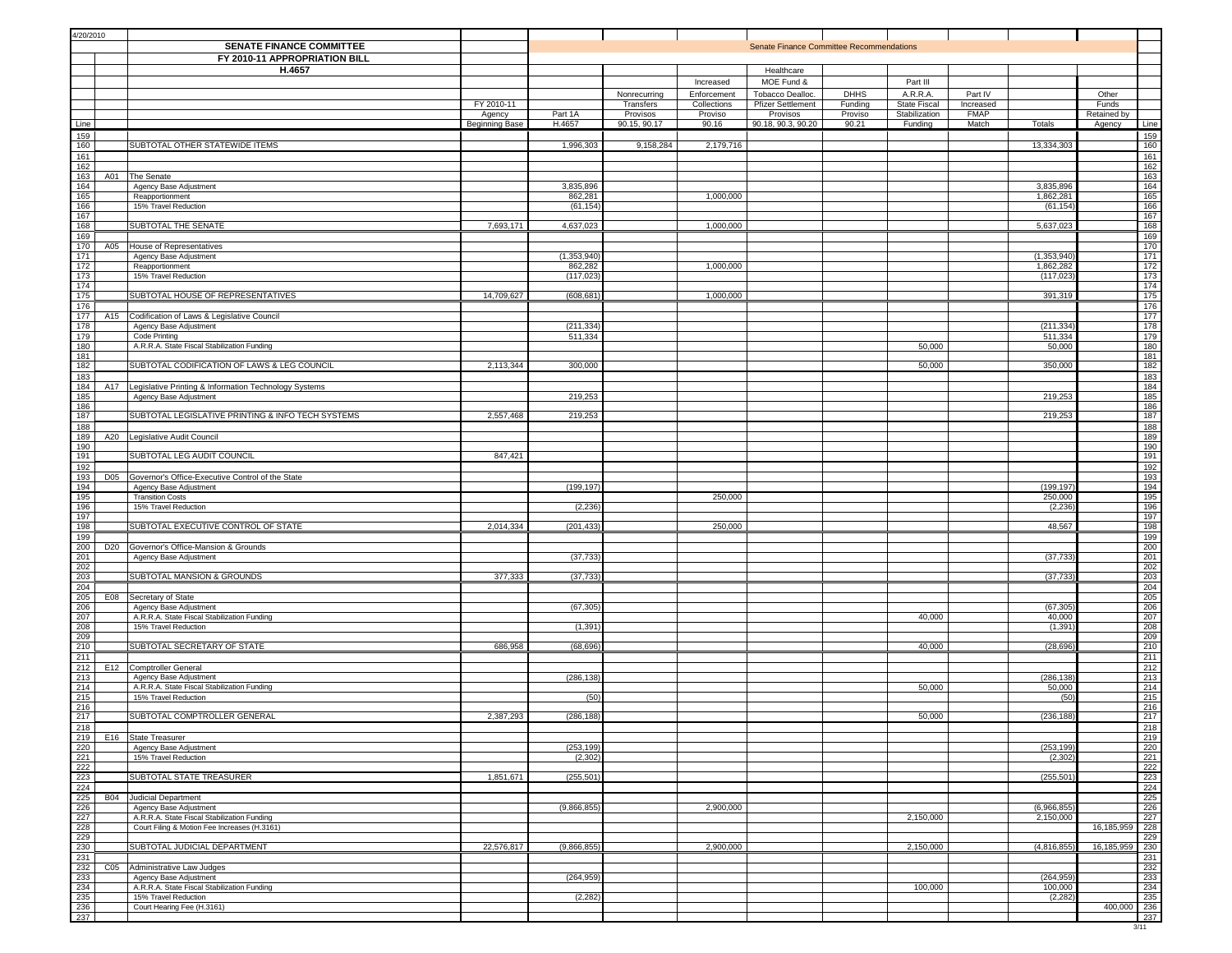|                                                                          | 4/20/2010<br><b>SENATE FINANCE COMMITTEE</b><br>FY 2010-11 APPROPRIATION BILL |                                                                                             |                       |                        |                       |                        | <b>Senate Finance Committee Recommendations</b> |                    |                                      |                          |                      |             |
|--------------------------------------------------------------------------|-------------------------------------------------------------------------------|---------------------------------------------------------------------------------------------|-----------------------|------------------------|-----------------------|------------------------|-------------------------------------------------|--------------------|--------------------------------------|--------------------------|----------------------|-------------|
|                                                                          |                                                                               | H.4657                                                                                      |                       |                        |                       |                        | Healthcare                                      |                    |                                      |                          |                      |             |
|                                                                          |                                                                               |                                                                                             |                       |                        |                       | Increased              | MOE Fund &                                      |                    | Part III                             |                          |                      |             |
|                                                                          |                                                                               |                                                                                             |                       |                        | Nonrecurring          | Enforcement            | Tobacco Dealloc.                                | <b>DHHS</b>        | A.R.R.A.                             | Part IV                  | Other                |             |
|                                                                          |                                                                               |                                                                                             | FY 2010-11<br>Agency  | Part 1A                | Transfers<br>Provisos | Collections<br>Proviso | <b>Pfizer Settlement</b><br>Provisos            | Funding<br>Proviso | <b>State Fiscal</b><br>Stabilization | Increased<br><b>FMAP</b> | Funds<br>Retained by |             |
| Line                                                                     |                                                                               |                                                                                             | <b>Beginning Base</b> | H.4657                 | 90.15, 90.17          | 90.16                  | 90.18, 90.3, 90.20                              | 90.21              | Funding                              | Match<br>Totals          | Agency               | Line        |
| 159                                                                      |                                                                               |                                                                                             |                       |                        |                       |                        |                                                 |                    |                                      |                          |                      | 159         |
| 160<br>161                                                               |                                                                               | SUBTOTAL OTHER STATEWIDE ITEMS                                                              |                       | 1,996,303              | 9,158,284             | 2,179,716              |                                                 |                    |                                      | 13,334,303               |                      | 160<br>161  |
| 162                                                                      |                                                                               |                                                                                             |                       |                        |                       |                        |                                                 |                    |                                      |                          |                      | 162         |
| 163<br>164                                                               | A01                                                                           | The Senate<br>Agency Base Adjustment                                                        |                       | 3,835,896              |                       |                        |                                                 |                    |                                      | 3,835,896                |                      | 163<br>164  |
| 165                                                                      |                                                                               | Reapportionment                                                                             |                       | 862,281                |                       | 1,000,000              |                                                 |                    |                                      | 1,862,281                |                      | 165         |
| 166                                                                      |                                                                               | 15% Travel Reduction                                                                        |                       | (61, 154)              |                       |                        |                                                 |                    |                                      | (61, 154)                |                      | 166         |
| 167<br>168                                                               |                                                                               | SUBTOTAL THE SENATE                                                                         | 7,693,171             | 4,637,023              |                       | 1,000,000              |                                                 |                    |                                      | 5,637,023                |                      | 167<br>168  |
| 169                                                                      |                                                                               |                                                                                             |                       |                        |                       |                        |                                                 |                    |                                      |                          |                      | 169         |
| 170<br>171                                                               | A05                                                                           | House of Representatives<br>Agency Base Adjustment                                          |                       | (1, 353, 940)          |                       |                        |                                                 |                    |                                      | (1, 353, 940)            |                      | 170<br>171  |
| 172                                                                      |                                                                               | Reapportionment                                                                             |                       | 862,282                |                       | 1,000,000              |                                                 |                    |                                      | 1,862,282                |                      | 172         |
| 173                                                                      |                                                                               | 15% Travel Reduction                                                                        |                       | (117, 023)             |                       |                        |                                                 |                    |                                      | (117, 023)               |                      | 173         |
| 174<br>175                                                               |                                                                               | SUBTOTAL HOUSE OF REPRESENTATIVES                                                           | 14,709,627            | (608, 681)             |                       | 1,000,000              |                                                 |                    |                                      | 391,319                  |                      | 174<br>175  |
| 176                                                                      |                                                                               |                                                                                             |                       |                        |                       |                        |                                                 |                    |                                      |                          |                      | 176         |
| 177<br>178                                                               | A15                                                                           | Codification of Laws & Legislative Council<br>Agency Base Adjustment                        |                       | (211, 334)             |                       |                        |                                                 |                    |                                      | (211, 334)               |                      | 177<br>178  |
| 179                                                                      |                                                                               | Code Printing                                                                               |                       | 511,334                |                       |                        |                                                 |                    |                                      | 511,334                  |                      | 179         |
| 180<br>181                                                               |                                                                               | A.R.R.A. State Fiscal Stabilization Funding                                                 |                       |                        |                       |                        |                                                 |                    | 50,000                               | 50,000                   |                      | 180<br>181  |
| 182                                                                      |                                                                               | SUBTOTAL CODIFICATION OF LAWS & LEG COUNCIL                                                 | 2,113,344             | 300,000                |                       |                        |                                                 |                    | 50,000                               | 350,000                  |                      | 182         |
| 183                                                                      |                                                                               |                                                                                             |                       |                        |                       |                        |                                                 |                    |                                      |                          |                      | 183         |
| 184<br>185                                                               | A17                                                                           | Legislative Printing & Information Technology Systems<br>Agency Base Adjustment             |                       | 219,253                |                       |                        |                                                 |                    |                                      | 219,253                  |                      | 184<br>185  |
| 186                                                                      |                                                                               |                                                                                             |                       |                        |                       |                        |                                                 |                    |                                      |                          |                      | 186         |
| 187<br>188                                                               |                                                                               | SUBTOTAL LEGISLATIVE PRINTING & INFO TECH SYSTEMS                                           | 2,557,468             | 219,253                |                       |                        |                                                 |                    |                                      | 219,253                  |                      | 187<br>188  |
| 189                                                                      | A20                                                                           | Legislative Audit Council                                                                   |                       |                        |                       |                        |                                                 |                    |                                      |                          |                      | 189         |
| 190<br>191                                                               |                                                                               | SUBTOTAL LEG AUDIT COUNCIL                                                                  | 847,421               |                        |                       |                        |                                                 |                    |                                      |                          |                      | 190<br>191  |
| 192                                                                      |                                                                               |                                                                                             |                       |                        |                       |                        |                                                 |                    |                                      |                          |                      | 192         |
| 193                                                                      | D05                                                                           | Governor's Office-Executive Control of the State                                            |                       |                        |                       |                        |                                                 |                    |                                      |                          |                      | 193         |
| 194<br>195                                                               |                                                                               | Agency Base Adjustment<br><b>Transition Costs</b>                                           |                       | (199, 197)             |                       | 250,000                |                                                 |                    |                                      | (199, 197)<br>250,000    |                      | 194<br>195  |
| 196                                                                      |                                                                               | 15% Travel Reduction                                                                        |                       | (2, 236)               |                       |                        |                                                 |                    |                                      | (2, 236)                 |                      | 196         |
| 197<br>198                                                               |                                                                               | SUBTOTAL EXECUTIVE CONTROL OF STATE                                                         | 2,014,334             | (201, 433)             |                       | 250,000                |                                                 |                    |                                      | 48,567                   |                      | 197<br>198  |
| 199                                                                      |                                                                               |                                                                                             |                       |                        |                       |                        |                                                 |                    |                                      |                          |                      | 199         |
| 200                                                                      |                                                                               | D20 Governor's Office-Mansion & Grounds                                                     |                       |                        |                       |                        |                                                 |                    |                                      |                          |                      | 200         |
| 201<br>202                                                               |                                                                               | Agency Base Adjustment                                                                      |                       | (37, 733)              |                       |                        |                                                 |                    |                                      | (37, 733)                |                      | 201<br>202  |
| 203                                                                      |                                                                               | SUBTOTAL MANSION & GROUNDS                                                                  | 377,333               | (37, 733)              |                       |                        |                                                 |                    |                                      | (37,733)                 |                      | 203         |
| 204<br>205                                                               | E08                                                                           | Secretary of State                                                                          |                       |                        |                       |                        |                                                 |                    |                                      |                          |                      | 204<br>205  |
| 206                                                                      |                                                                               | Agency Base Adjustment                                                                      |                       | (67, 305)              |                       |                        |                                                 |                    |                                      | (67, 305)                |                      | 206         |
|                                                                          |                                                                               | A.R.R.A. State Fiscal Stabilization Funding<br>15% Travel Reduction                         |                       | (1, 391)               |                       |                        |                                                 |                    | 40,000                               | 40,000<br>(1, 391)       |                      | 207<br>208  |
| $\frac{207}{208}$ $\frac{209}{210}$                                      |                                                                               |                                                                                             |                       |                        |                       |                        |                                                 |                    |                                      |                          |                      | 209         |
|                                                                          |                                                                               | SUBTOTAL SECRETARY OF STATE                                                                 | 686,958               | (68, 696)              |                       |                        |                                                 |                    | 40,000                               | (28, 696)                |                      | 210         |
| 211<br>212                                                               |                                                                               | E12 Comptroller General                                                                     |                       |                        |                       |                        |                                                 |                    |                                      |                          |                      | 211<br>212  |
| 213                                                                      |                                                                               | Agency Base Adjustment                                                                      |                       | (286, 138)             |                       |                        |                                                 |                    |                                      | (286,138                 |                      | 213         |
| 214<br>215                                                               |                                                                               | A.R.R.A. State Fiscal Stabilization Funding<br>15% Travel Reduction                         |                       | (50)                   |                       |                        |                                                 |                    | 50,000                               | 50,000<br>(50)           |                      | 214<br>215  |
| 216                                                                      |                                                                               |                                                                                             |                       |                        |                       |                        |                                                 |                    |                                      |                          |                      | 216         |
| 217                                                                      |                                                                               | SUBTOTAL COMPTROLLER GENERAL                                                                | 2,387,293             | (286, 188)             |                       |                        |                                                 |                    | 50,000                               | (236, 188)               |                      | 217<br>218  |
|                                                                          |                                                                               | 218<br>219 E16 State Treasurer                                                              |                       |                        |                       |                        |                                                 |                    |                                      |                          |                      | 219         |
|                                                                          |                                                                               | Agency Base Adjustment<br>15% Travel Reduction                                              |                       | (253, 199)<br>(2, 302) |                       |                        |                                                 |                    |                                      | (253, 199)<br>(2, 302)   |                      | 220<br>221  |
| $\frac{220}{222}$                                                        |                                                                               |                                                                                             |                       |                        |                       |                        |                                                 |                    |                                      |                          |                      | 222         |
|                                                                          |                                                                               | SUBTOTAL STATE TREASURER                                                                    | 1,851,671             | (255, 501)             |                       |                        |                                                 |                    |                                      | (255, 501)               |                      | 223         |
| $\begin{array}{r}\n 224 \\  \hline\n 225 \\  \hline\n 226\n \end{array}$ |                                                                               | <b>B04</b> Judicial Department                                                              |                       |                        |                       |                        |                                                 |                    |                                      |                          |                      | 224<br>225  |
|                                                                          |                                                                               | Agency Base Adjustment                                                                      |                       | (9,866,855)            |                       | 2,900,000              |                                                 |                    |                                      | (6,966,855)              |                      | 226         |
| $\frac{227}{228}$                                                        |                                                                               | A.R.R.A. State Fiscal Stabilization Funding<br>Court Filing & Motion Fee Increases (H.3161) |                       |                        |                       |                        |                                                 |                    | 2,150,000                            | 2,150,000                | 16,185,959           | 227<br>228  |
|                                                                          |                                                                               |                                                                                             |                       |                        |                       |                        |                                                 |                    |                                      |                          |                      | 229         |
| 230                                                                      |                                                                               | SUBTOTAL JUDICIAL DEPARTMENT                                                                | 22,576,817            | (9,866,855)            |                       | 2,900,000              |                                                 |                    | 2,150,000                            | (4,816,855)              | 16,185,959           | 230<br>231  |
| $\begin{array}{r} 231 \\ 232 \\ 233 \end{array}$                         | C <sub>05</sub>                                                               | Administrative Law Judges                                                                   |                       |                        |                       |                        |                                                 |                    |                                      |                          |                      | 232         |
|                                                                          |                                                                               | Agency Base Adjustment                                                                      |                       | (264, 959)             |                       |                        |                                                 |                    |                                      | (264, 959                |                      | 233         |
|                                                                          |                                                                               | A.R.R.A. State Fiscal Stabilization Funding<br>15% Travel Reduction                         |                       | (2, 282)               |                       |                        |                                                 |                    | 100,000                              | 100,000<br>(2, 282)      |                      | 234<br>235  |
| $\frac{234}{235}$ $\frac{235}{236}$                                      |                                                                               | Court Hearing Fee (H.3161)                                                                  |                       |                        |                       |                        |                                                 |                    |                                      |                          | 400,000 236          |             |
|                                                                          |                                                                               |                                                                                             |                       |                        |                       |                        |                                                 |                    |                                      |                          |                      | 237<br>3/11 |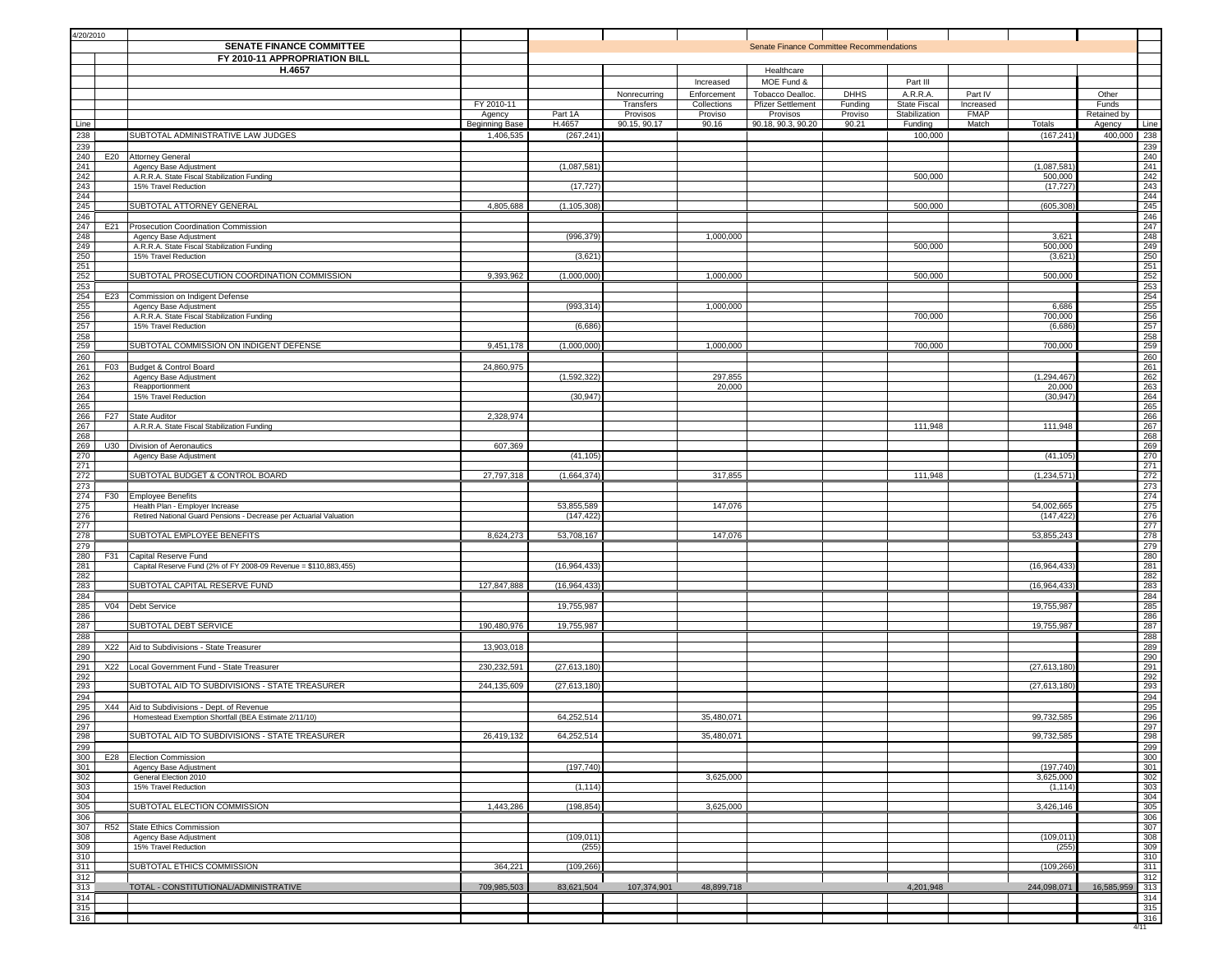| 4/20/2010                                                                                                                                    |                                                                                                    |                      |                     |                       |                        |                                          |                    |                                      |                          |                       |                      |                   |
|----------------------------------------------------------------------------------------------------------------------------------------------|----------------------------------------------------------------------------------------------------|----------------------|---------------------|-----------------------|------------------------|------------------------------------------|--------------------|--------------------------------------|--------------------------|-----------------------|----------------------|-------------------|
|                                                                                                                                              | <b>SENATE FINANCE COMMITTEE</b>                                                                    |                      |                     |                       |                        | Senate Finance Committee Recommendations |                    |                                      |                          |                       |                      |                   |
|                                                                                                                                              | FY 2010-11 APPROPRIATION BILL<br>H.4657                                                            |                      |                     |                       |                        | Healthcare                               |                    |                                      |                          |                       |                      |                   |
|                                                                                                                                              |                                                                                                    |                      |                     |                       | Increased              | MOE Fund &                               |                    | Part III                             |                          |                       |                      |                   |
|                                                                                                                                              |                                                                                                    |                      |                     | Nonrecurring          | Enforcement            | Tobacco Dealloc.                         | <b>DHHS</b>        | A.R.R.A.                             | Part IV                  |                       | Other                |                   |
|                                                                                                                                              |                                                                                                    | FY 2010-11<br>Agency | Part 1A             | Transfers<br>Provisos | Collections<br>Proviso | <b>Pfizer Settlement</b><br>Provisos     | Funding<br>Proviso | <b>State Fiscal</b><br>Stabilization | Increased<br><b>FMAP</b> |                       | Funds<br>Retained by |                   |
| Line                                                                                                                                         |                                                                                                    | Beginning Base       | H.4657              | 90.15, 90.17          | 90.16                  | 90.18, 90.3, 90.20                       | 90.21              | Funding                              | Match                    | Totals                | Agency               | Line              |
| 238                                                                                                                                          | SUBTOTAL ADMINISTRATIVE LAW JUDGES                                                                 | 1,406,535            | (267, 241)          |                       |                        |                                          |                    | 100,000                              |                          | (167, 241)            | 400,000              | 238               |
| 239<br>240                                                                                                                                   | E20 Attorney General                                                                               |                      |                     |                       |                        |                                          |                    |                                      |                          |                       |                      | 239<br>240        |
| 241                                                                                                                                          | Agency Base Adjustment                                                                             |                      | (1,087,581)         |                       |                        |                                          |                    |                                      |                          | (1,087,581)           |                      | 241               |
| 242<br>243                                                                                                                                   | A.R.R.A. State Fiscal Stabilization Funding<br>15% Travel Reduction                                |                      | (17, 727)           |                       |                        |                                          |                    | 500,000                              |                          | 500,000<br>(17, 727)  |                      | 242<br>243        |
| $rac{1}{244}$                                                                                                                                |                                                                                                    |                      |                     |                       |                        |                                          |                    |                                      |                          |                       |                      | 244               |
| 245                                                                                                                                          | SUBTOTAL ATTORNEY GENERAL                                                                          | 4,805,688            | (1, 105, 308)       |                       |                        |                                          |                    | 500,000                              |                          | (605, 308)            |                      | 245<br>246        |
| $rac{246}{247}$                                                                                                                              | E21 Prosecution Coordination Commission                                                            |                      |                     |                       |                        |                                          |                    |                                      |                          |                       |                      | $\frac{247}{248}$ |
| 248<br>249                                                                                                                                   | Agency Base Adjustment<br>A.R.R.A. State Fiscal Stabilization Funding                              |                      | (996,379            |                       | 1,000,000              |                                          |                    | 500,000                              |                          | 3,621<br>500,000      |                      | 249               |
| 250                                                                                                                                          | 15% Travel Reduction                                                                               |                      | (3,621)             |                       |                        |                                          |                    |                                      |                          | (3,621)               |                      | 250               |
| 251<br>252                                                                                                                                   | SUBTOTAL PROSECUTION COORDINATION COMMISSION                                                       | 9,393,962            | (1,000,000)         |                       | 1,000,000              |                                          |                    | 500,000                              |                          | 500,000               |                      | 251<br>252        |
| 253                                                                                                                                          |                                                                                                    |                      |                     |                       |                        |                                          |                    |                                      |                          |                       |                      | 253               |
| 254                                                                                                                                          | E23 Commission on Indigent Defense                                                                 |                      |                     |                       |                        |                                          |                    |                                      |                          |                       |                      | 254<br>255        |
| 255<br>256                                                                                                                                   | Agency Base Adjustment<br>A.R.R.A. State Fiscal Stabilization Funding                              |                      | (993, 314)          |                       | 1,000,000              |                                          |                    | 700,000                              |                          | 6,686<br>700,000      |                      | 256               |
| 257                                                                                                                                          | 15% Travel Reduction                                                                               |                      | (6,686)             |                       |                        |                                          |                    |                                      |                          | (6,686)               |                      | 257               |
| $\frac{258}{259}$                                                                                                                            | SUBTOTAL COMMISSION ON INDIGENT DEFENSE                                                            | 9,451,178            | (1,000,000)         |                       | 1,000,000              |                                          |                    | 700,000                              |                          | 700,000               |                      | $\frac{258}{259}$ |
| 260                                                                                                                                          |                                                                                                    |                      |                     |                       |                        |                                          |                    |                                      |                          |                       |                      | 260               |
| 261<br>262                                                                                                                                   | F03 Budget & Control Board<br>Agency Base Adjustment                                               | 24,860,975           | (1, 592, 322)       |                       | 297,855                |                                          |                    |                                      |                          | (1, 294, 467)         |                      | $\frac{261}{262}$ |
| 263                                                                                                                                          | Reapportionment                                                                                    |                      |                     |                       | 20,000                 |                                          |                    |                                      |                          | 20,000                |                      | 263               |
| 264<br>265                                                                                                                                   | 15% Travel Reduction                                                                               |                      | (30, 947)           |                       |                        |                                          |                    |                                      |                          | (30, 947)             |                      | 264               |
| 266<br>F27                                                                                                                                   | State Auditor                                                                                      | 2,328,974            |                     |                       |                        |                                          |                    |                                      |                          |                       |                      | $\frac{265}{266}$ |
| 267<br>268                                                                                                                                   | A.R.R.A. State Fiscal Stabilization Funding                                                        |                      |                     |                       |                        |                                          |                    | 111,948                              |                          | 111,948               |                      | 268               |
| 269                                                                                                                                          | U30 Division of Aeronautics                                                                        | 607,369              |                     |                       |                        |                                          |                    |                                      |                          |                       |                      | 269               |
| 270<br>271                                                                                                                                   | Agency Base Adjustment                                                                             |                      | (41, 105)           |                       |                        |                                          |                    |                                      |                          | (41, 105)             |                      | 270<br>271        |
|                                                                                                                                              | SUBTOTAL BUDGET & CONTROL BOARD                                                                    | 27,797,318           | (1,664,374)         |                       | 317,855                |                                          |                    | 111,948                              |                          | (1, 234, 571)         |                      | 272               |
| $\begin{array}{r} 272 \\ 273 \\ 274 \end{array}$                                                                                             | F30 Employee Benefits                                                                              |                      |                     |                       |                        |                                          |                    |                                      |                          |                       |                      | $\frac{273}{274}$ |
| 275                                                                                                                                          | Health Plan - Employer Increase                                                                    |                      | 53,855,589          |                       | 147,076                |                                          |                    |                                      |                          | 54,002,665            |                      | 275               |
| 276<br>277                                                                                                                                   | Retired National Guard Pensions - Decrease per Actuarial Valuation                                 |                      | (147, 422)          |                       |                        |                                          |                    |                                      |                          | (147, 422)            |                      | 276<br>277        |
| 278                                                                                                                                          | SUBTOTAL EMPLOYEE BENEFITS                                                                         | 8,624,273            | 53,708,167          |                       | 147,076                |                                          |                    |                                      |                          | 53,855,243            |                      | 278               |
| 279                                                                                                                                          |                                                                                                    |                      |                     |                       |                        |                                          |                    |                                      |                          |                       |                      | 279               |
| 280<br>281                                                                                                                                   | F31 Capital Reserve Fund<br>Capital Reserve Fund (2% of FY 2008-09 Revenue = \$110,883,455)        |                      | (16, 964, 433)      |                       |                        |                                          |                    |                                      |                          | (16,964,433           |                      | 280<br>281        |
| 282                                                                                                                                          |                                                                                                    |                      |                     |                       |                        |                                          |                    |                                      |                          |                       |                      | 282               |
| 283<br>284                                                                                                                                   | SUBTOTAL CAPITAL RESERVE FUND                                                                      | 127,847,888          | (16,964,433)        |                       |                        |                                          |                    |                                      |                          | (16,964,433)          |                      | 283<br>284        |
| 285<br>V <sub>04</sub>                                                                                                                       | Debt Service                                                                                       |                      | 19,755,987          |                       |                        |                                          |                    |                                      |                          | 19,755,987            |                      | 285               |
| 286<br>$rac{287}{287}$                                                                                                                       | <b>SUBTOTAL DEBT SERVICE</b>                                                                       | 190,480,976          | 19,755,987          |                       |                        |                                          |                    |                                      |                          | 19,755,987            |                      | $\frac{286}{287}$ |
| 288                                                                                                                                          |                                                                                                    |                      |                     |                       |                        |                                          |                    |                                      |                          |                       |                      | 288               |
| 289<br>290                                                                                                                                   | X22 Aid to Subdivisions - State Treasurer                                                          | 13,903,018           |                     |                       |                        |                                          |                    |                                      |                          |                       |                      | 289<br>290        |
| 291<br>X22                                                                                                                                   | Local Government Fund - State Treasurer                                                            | 230,232,591          | (27, 613, 180)      |                       |                        |                                          |                    |                                      |                          | (27, 613, 180)        |                      | 291               |
| $\frac{292}{293}$                                                                                                                            | SUBTOTAL AID TO SUBDIVISIONS - STATE TREASURER                                                     | 244,135,609          | (27, 613, 180)      |                       |                        |                                          |                    |                                      |                          | (27, 613, 180)        |                      | 292<br>293        |
| $\frac{294}{295}$                                                                                                                            |                                                                                                    |                      |                     |                       |                        |                                          |                    |                                      |                          |                       |                      | 294               |
| 296                                                                                                                                          | X44 Aid to Subdivisions - Dept. of Revenue<br>Homestead Exemption Shortfall (BEA Estimate 2/11/10) |                      | 64,252,514          |                       | 35,480,071             |                                          |                    |                                      |                          | 99,732,585            |                      | 295<br>296        |
|                                                                                                                                              |                                                                                                    |                      |                     |                       |                        |                                          |                    |                                      |                          |                       |                      | 297               |
| 297<br>298<br>2010 001 001<br>2010 001<br>2010 001<br>2010 001<br>2010 001                                                                   | SUBTOTAL AID TO SUBDIVISIONS - STATE TREASURER                                                     | 26,419,132           | 64,252,514          |                       | 35,480,071             |                                          |                    |                                      |                          | 99,732,585            |                      | 298               |
|                                                                                                                                              | E28 Election Commission                                                                            |                      |                     |                       |                        |                                          |                    |                                      |                          |                       |                      | 299<br>300        |
|                                                                                                                                              | Agency Base Adjustment                                                                             |                      | (197, 740)          |                       |                        |                                          |                    |                                      |                          | (197,740              |                      | 301               |
|                                                                                                                                              | General Election 2010<br>15% Travel Reduction                                                      |                      | (1, 114)            |                       | 3,625,000              |                                          |                    |                                      |                          | 3,625,000<br>(1, 114) |                      | 302<br>303        |
|                                                                                                                                              | SUBTOTAL ELECTION COMMISSION                                                                       |                      |                     |                       |                        |                                          |                    |                                      |                          |                       |                      | 304               |
| $\frac{1000}{306}$                                                                                                                           |                                                                                                    | 1,443,286            | (198, 854)          |                       | 3,625,000              |                                          |                    |                                      |                          | 3,426,146             |                      | 305<br>306        |
| $\begin{array}{r}\n 306 \\  \hline\n 307 \\  \hline\n 308 \\  \hline\n 309 \\  \hline\n 310 \\  \hline\n 311 \\  \hline\n 311\n \end{array}$ | R52 State Ethics Commission                                                                        |                      |                     |                       |                        |                                          |                    |                                      |                          |                       |                      | 307               |
|                                                                                                                                              | Agency Base Adjustment<br>15% Travel Reduction                                                     |                      | (109, 011)<br>(255) |                       |                        |                                          |                    |                                      |                          | (109, 011)<br>(255)   |                      | 308<br>309        |
|                                                                                                                                              |                                                                                                    |                      |                     |                       |                        |                                          |                    |                                      |                          |                       |                      | 310               |
|                                                                                                                                              | SUBTOTAL ETHICS COMMISSION                                                                         | 364,221              | (109, 266)          |                       |                        |                                          |                    |                                      |                          | (109, 266)            |                      | 311<br>312        |
| $\frac{312}{313}$                                                                                                                            | TOTAL - CONSTITUTIONAL/ADMINISTRATIVE                                                              | 709,985,503          | 83,621,504          | 107,374,901           | 48,899,718             |                                          |                    | 4,201,948                            |                          | 244,098,071           | 16,585,959           | 313               |
| 314<br>$rac{314}{315}$                                                                                                                       |                                                                                                    |                      |                     |                       |                        |                                          |                    |                                      |                          |                       |                      | 314<br>315        |
| 316                                                                                                                                          |                                                                                                    |                      |                     |                       |                        |                                          |                    |                                      |                          |                       |                      | 316               |
|                                                                                                                                              |                                                                                                    |                      |                     |                       |                        |                                          |                    |                                      |                          |                       |                      | 4/11              |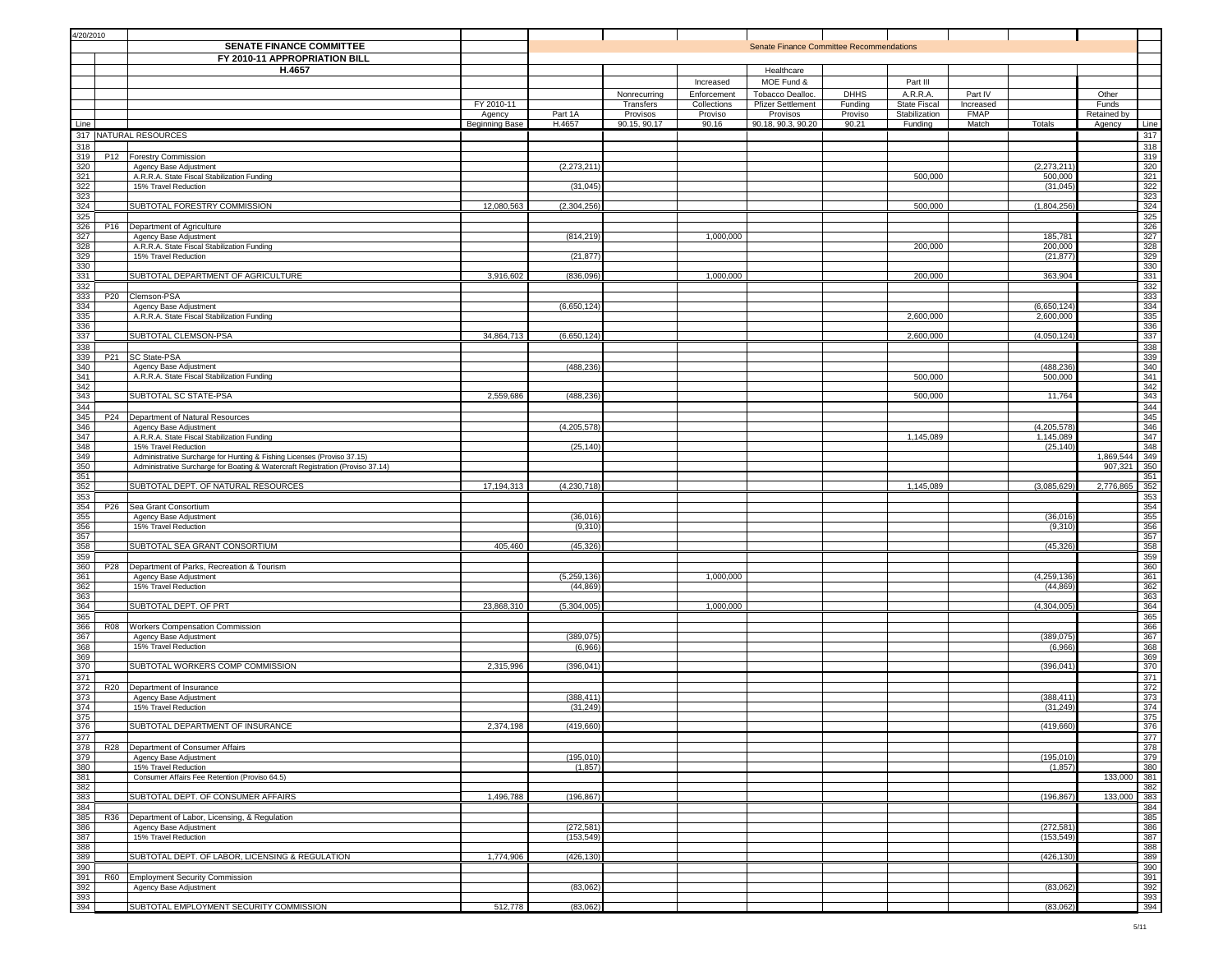| 4/20/2010                                                                                  | <b>SENATE FINANCE COMMITTEE</b><br>FY 2010-11 APPROPRIATION BILL                                |                                        |                          |                                       |                                 | Senate Finance Committee Recommendations                   |                             |                                                 |                                   |                          |                                |                   |
|--------------------------------------------------------------------------------------------|-------------------------------------------------------------------------------------------------|----------------------------------------|--------------------------|---------------------------------------|---------------------------------|------------------------------------------------------------|-----------------------------|-------------------------------------------------|-----------------------------------|--------------------------|--------------------------------|-------------------|
|                                                                                            | H.4657                                                                                          |                                        |                          | Nonrecurring                          | Increased<br>Enforcement        | Healthcare<br>MOE Fund &<br>Tobacco Dealloc.               | <b>DHHS</b>                 | Part III<br>A.R.R.A.                            | Part IV                           |                          | Other                          |                   |
| Line                                                                                       |                                                                                                 | FY 2010-11<br>Agency<br>Beginning Base | Part 1A<br>H.4657        | Transfers<br>Provisos<br>90.15, 90.17 | Collections<br>Proviso<br>90.16 | <b>Pfizer Settlement</b><br>Provisos<br>90.18, 90.3, 90.20 | Funding<br>Proviso<br>90.21 | <b>State Fiscal</b><br>Stabilization<br>Funding | Increased<br><b>FMAP</b><br>Match | Totals                   | Funds<br>Retained by<br>Agency | Line              |
|                                                                                            | 317 NATURAL RESOURCES                                                                           |                                        |                          |                                       |                                 |                                                            |                             |                                                 |                                   |                          |                                | 317               |
| 318<br>319<br>P <sub>12</sub>                                                              | <b>Forestry Commission</b>                                                                      |                                        |                          |                                       |                                 |                                                            |                             |                                                 |                                   |                          |                                | 318<br>319        |
| 320                                                                                        | Agency Base Adjustment                                                                          |                                        | (2, 273, 211)            |                                       |                                 |                                                            |                             |                                                 |                                   | (2, 273, 211)            |                                | 320               |
| $\begin{array}{r} 321 \\ 322 \\ 323 \end{array}$                                           | A.R.R.A. State Fiscal Stabilization Funding<br>15% Travel Reduction                             |                                        | (31,045)                 |                                       |                                 |                                                            |                             | 500,000                                         |                                   | 500,000<br>(31, 045)     |                                | 321               |
|                                                                                            |                                                                                                 |                                        |                          |                                       |                                 |                                                            |                             |                                                 |                                   |                          |                                | $\frac{322}{323}$ |
| 324<br>325                                                                                 | SUBTOTAL FORESTRY COMMISSION                                                                    | 12,080,563                             | (2, 304, 256)            |                                       |                                 |                                                            |                             | 500,000                                         |                                   | (1,804,256)              |                                | 324<br>325        |
| 326<br>P <sub>16</sub>                                                                     | Department of Agriculture                                                                       |                                        |                          |                                       |                                 |                                                            |                             |                                                 |                                   |                          |                                | 326               |
| 327                                                                                        | Agency Base Adjustment                                                                          |                                        | (814, 219)               |                                       | 1,000,000                       |                                                            |                             |                                                 |                                   | 185,781                  |                                | 327               |
| 328<br>329                                                                                 | A.R.R.A. State Fiscal Stabilization Funding<br>15% Travel Reduction                             |                                        | (21, 877)                |                                       |                                 |                                                            |                             | 200,000                                         |                                   | 200,000<br>(21, 877)     |                                | 328<br>329        |
| 330                                                                                        |                                                                                                 |                                        |                          |                                       |                                 |                                                            |                             |                                                 |                                   |                          |                                | 330               |
| 331<br>332                                                                                 | SUBTOTAL DEPARTMENT OF AGRICULTURE                                                              | 3,916,602                              | (836,096)                |                                       | 1,000,000                       |                                                            |                             | 200,000                                         |                                   | 363,904                  |                                | 331<br>332        |
| 333<br>P <sub>20</sub>                                                                     | Clemson-PSA                                                                                     |                                        |                          |                                       |                                 |                                                            |                             |                                                 |                                   |                          |                                | 333               |
| 334                                                                                        | Agency Base Adjustment<br>A.R.R.A. State Fiscal Stabilization Funding                           |                                        | (6,650,124)              |                                       |                                 |                                                            |                             | 2,600,000                                       |                                   | (6,650,124)<br>2,600,000 |                                | 334               |
| $\begin{array}{r} 335 \\ 336 \\ 337 \end{array}$                                           |                                                                                                 |                                        |                          |                                       |                                 |                                                            |                             |                                                 |                                   |                          |                                | 335<br>336        |
|                                                                                            | SUBTOTAL CLEMSON-PSA                                                                            | 34,864,713                             | (6,650,124)              |                                       |                                 |                                                            |                             | 2,600,000                                       |                                   | (4,050,124)              |                                | 337               |
| 338<br>339                                                                                 | P21 SC State-PSA                                                                                |                                        |                          |                                       |                                 |                                                            |                             |                                                 |                                   |                          |                                | 338<br>339        |
|                                                                                            | Agency Base Adjustment                                                                          |                                        | (488,236                 |                                       |                                 |                                                            |                             |                                                 |                                   | (488,236                 |                                | 340               |
| $\frac{340}{341}$ $\frac{342}{342}$                                                        | A.R.R.A. State Fiscal Stabilization Funding                                                     |                                        |                          |                                       |                                 |                                                            |                             | 500,000                                         |                                   | 500,000                  |                                | 341<br>342        |
| 343                                                                                        | SUBTOTAL SC STATE-PSA                                                                           | 2,559,686                              | (488, 236)               |                                       |                                 |                                                            |                             | 500,000                                         |                                   | 11,764                   |                                | 343               |
| 344                                                                                        |                                                                                                 |                                        |                          |                                       |                                 |                                                            |                             |                                                 |                                   |                          |                                | 344               |
| 345<br>346                                                                                 | P24 Department of Natural Resources<br>Agency Base Adjustment                                   |                                        | (4, 205, 578)            |                                       |                                 |                                                            |                             |                                                 |                                   | (4, 205, 578)            |                                | 345<br>346        |
| 347                                                                                        | A.R.R.A. State Fiscal Stabilization Funding                                                     |                                        |                          |                                       |                                 |                                                            |                             | 1,145,089                                       |                                   | 1,145,089                |                                | 347               |
| 348                                                                                        | 15% Travel Reduction<br>Administrative Surcharge for Hunting & Fishing Licenses (Proviso 37.15) |                                        | (25, 140)                |                                       |                                 |                                                            |                             |                                                 |                                   | (25, 140)                | 1,869,544                      | 348<br>349        |
|                                                                                            | Administrative Surcharge for Boating & Watercraft Registration (Proviso 37.14)                  |                                        |                          |                                       |                                 |                                                            |                             |                                                 |                                   |                          | 907,321                        | 350               |
| $\frac{349}{350}$ $\frac{351}{352}$                                                        |                                                                                                 |                                        |                          |                                       |                                 |                                                            |                             |                                                 |                                   |                          |                                | 351               |
| 353                                                                                        | SUBTOTAL DEPT. OF NATURAL RESOURCES                                                             | 17,194,313                             | (4, 230, 718)            |                                       |                                 |                                                            |                             | 1,145,089                                       |                                   | (3,085,629)              | 2,776,865                      | 352<br>353        |
| 354<br>P <sub>26</sub>                                                                     | Sea Grant Consortium                                                                            |                                        |                          |                                       |                                 |                                                            |                             |                                                 |                                   |                          |                                | 354               |
| 355                                                                                        | Agency Base Adjustment<br>15% Travel Reduction                                                  |                                        | (36, 016)                |                                       |                                 |                                                            |                             |                                                 |                                   | (36, 016)                |                                | 355               |
| $\frac{356}{357}$                                                                          |                                                                                                 |                                        | (9,310)                  |                                       |                                 |                                                            |                             |                                                 |                                   | (9,310)                  |                                | 356<br>357        |
| $rac{358}{358}$                                                                            | SUBTOTAL SEA GRANT CONSORTIUM                                                                   | 405,460                                | (45, 326)                |                                       |                                 |                                                            |                             |                                                 |                                   | (45, 326)                |                                | 358               |
| 359<br>360<br>P28                                                                          | Department of Parks, Recreation & Tourism                                                       |                                        |                          |                                       |                                 |                                                            |                             |                                                 |                                   |                          |                                | 359<br>360        |
| 361                                                                                        | Agency Base Adjustment                                                                          |                                        | (5, 259, 136)            |                                       | 1,000,000                       |                                                            |                             |                                                 |                                   | (4, 259, 136)            |                                | 361               |
| $\frac{362}{363}$                                                                          | 15% Travel Reduction                                                                            |                                        | (44, 869)                |                                       |                                 |                                                            |                             |                                                 |                                   | (44, 869)                |                                | 362<br>363        |
| $rac{364}{364}$                                                                            | SUBTOTAL DEPT. OF PRT                                                                           | 23,868,310                             | (5,304,005)              |                                       | 1,000,000                       |                                                            |                             |                                                 |                                   | (4,304,005)              |                                | 364               |
| 365                                                                                        |                                                                                                 |                                        |                          |                                       |                                 |                                                            |                             |                                                 |                                   |                          |                                | 365               |
| 366<br>R08<br>367                                                                          | <b>Workers Compensation Commission</b><br>Agency Base Adjustment                                |                                        | (389, 075)               |                                       |                                 |                                                            |                             |                                                 |                                   | (389,075                 |                                | 366<br>367        |
| 368                                                                                        | 15% Travel Reduction                                                                            |                                        | (6,966)                  |                                       |                                 |                                                            |                             |                                                 |                                   | (6,966)                  |                                | 368               |
| 369<br>370                                                                                 | SUBTOTAL WORKERS COMP COMMISSION                                                                | 2,315,996                              | (396, 041)               |                                       |                                 |                                                            |                             |                                                 |                                   | (396, 041)               |                                | 369<br>370        |
| 371                                                                                        |                                                                                                 |                                        |                          |                                       |                                 |                                                            |                             |                                                 |                                   |                          |                                | 371               |
| 372<br><b>R20</b><br>373                                                                   | Department of Insurance<br>Agency Base Adjustment                                               |                                        | (388, 411)               |                                       |                                 |                                                            |                             |                                                 |                                   | (388, 411)               |                                | 372<br>373        |
| 374                                                                                        | 15% Travel Reduction                                                                            |                                        | (31, 249)                |                                       |                                 |                                                            |                             |                                                 |                                   | (31, 249)                |                                | 374               |
| 375                                                                                        |                                                                                                 |                                        |                          |                                       |                                 |                                                            |                             |                                                 |                                   |                          |                                | 375               |
|                                                                                            | SUBTOTAL DEPARTMENT OF INSURANCE                                                                | 2,374,198                              | (419, 660)               |                                       |                                 |                                                            |                             |                                                 |                                   | (419,660)                |                                | 376<br>377        |
|                                                                                            | R28 Department of Consumer Affairs                                                              |                                        |                          |                                       |                                 |                                                            |                             |                                                 |                                   |                          |                                | 378               |
|                                                                                            | Agency Base Adjustment<br>15% Travel Reduction                                                  |                                        | (195, 010)<br>(1, 857)   |                                       |                                 |                                                            |                             |                                                 |                                   | (195, 010)<br>(1, 857)   |                                | 379<br>380        |
|                                                                                            | Consumer Affairs Fee Retention (Proviso 64.5)                                                   |                                        |                          |                                       |                                 |                                                            |                             |                                                 |                                   |                          | 133,000                        | 381               |
| $\begin{array}{r} 376 \\ 377 \\ 378 \\ 389 \\ 380 \\ 382 \\ 383 \end{array}$               | SUBTOTAL DEPT. OF CONSUMER AFFAIRS                                                              | 1,496,788                              | (196, 867)               |                                       |                                 |                                                            |                             |                                                 |                                   | (196, 867)               | 133,000                        | 382<br>383        |
|                                                                                            |                                                                                                 |                                        |                          |                                       |                                 |                                                            |                             |                                                 |                                   |                          |                                | 384               |
| $\begin{array}{r} 384 \\ 385 \\ 385 \\ 386 \end{array}$                                    | R36 Department of Labor, Licensing, & Regulation                                                |                                        |                          |                                       |                                 |                                                            |                             |                                                 |                                   |                          |                                | 385               |
|                                                                                            | Agency Base Adjustment<br>15% Travel Reduction                                                  |                                        | (272, 581)<br>(153, 549) |                                       |                                 |                                                            |                             |                                                 |                                   | (272, 581)<br>(153, 549) |                                | 386<br>387        |
| $\begin{array}{r}\n 300 \\  \hline\n 387 \\  \hline\n 388 \\  \hline\n 389\n \end{array}$  |                                                                                                 |                                        |                          |                                       |                                 |                                                            |                             |                                                 |                                   |                          |                                | 388               |
| $\frac{390}{ }$                                                                            | SUBTOTAL DEPT. OF LABOR, LICENSING & REGULATION                                                 | 1,774,906                              | (426, 130)               |                                       |                                 |                                                            |                             |                                                 |                                   | (426, 130)               |                                | 389               |
|                                                                                            | R60 Employment Security Commission                                                              |                                        |                          |                                       |                                 |                                                            |                             |                                                 |                                   |                          |                                | 390<br>391        |
|                                                                                            | Agency Base Adjustment                                                                          |                                        | (83,062)                 |                                       |                                 |                                                            |                             |                                                 |                                   | (83,062)                 |                                | 392               |
| $\begin{array}{r} 390 \\ \hline 391 \\ \hline 392 \\ \hline 393 \\ \hline 394 \end{array}$ | SUBTOTAL EMPLOYMENT SECURITY COMMISSION                                                         | 512,778                                | (83,062)                 |                                       |                                 |                                                            |                             |                                                 |                                   | (83,062)                 |                                | 393<br>394        |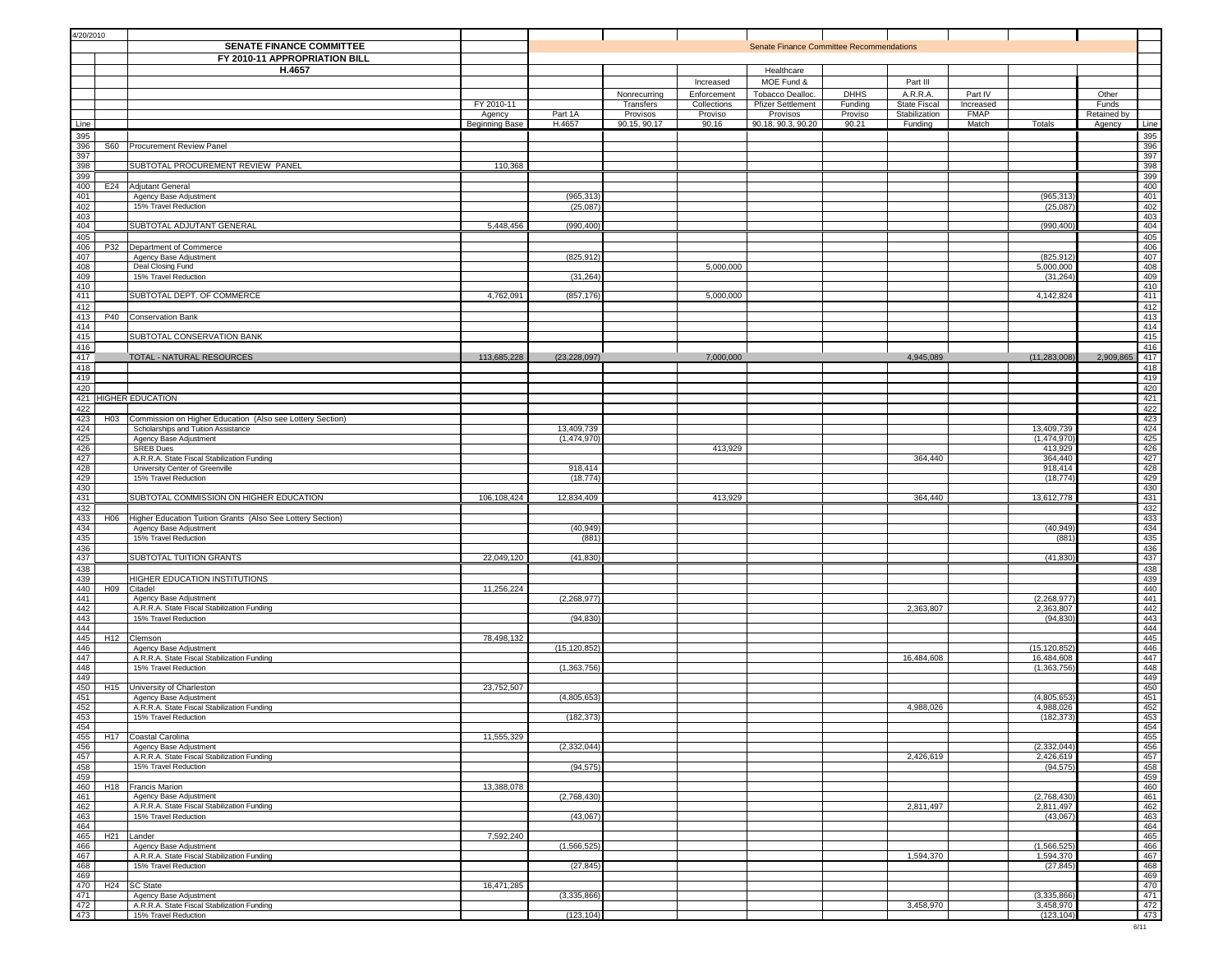| 4/20/2010                                                                                       |                                                                       |                |                |              |             |                                          |             |                     |             |                              |             |            |
|-------------------------------------------------------------------------------------------------|-----------------------------------------------------------------------|----------------|----------------|--------------|-------------|------------------------------------------|-------------|---------------------|-------------|------------------------------|-------------|------------|
|                                                                                                 | <b>SENATE FINANCE COMMITTEE</b>                                       |                |                |              |             | Senate Finance Committee Recommendations |             |                     |             |                              |             |            |
|                                                                                                 | FY 2010-11 APPROPRIATION BILL                                         |                |                |              |             |                                          |             |                     |             |                              |             |            |
|                                                                                                 | H.4657                                                                |                |                |              |             | Healthcare                               |             |                     |             |                              |             |            |
|                                                                                                 |                                                                       |                |                |              | Increased   | MOE Fund &                               |             | Part III            |             |                              |             |            |
|                                                                                                 |                                                                       |                |                | Nonrecurring | Enforcement | Tobacco Dealloc.                         | <b>DHHS</b> | A.R.R.A.            | Part IV     |                              | Other       |            |
|                                                                                                 |                                                                       | FY 2010-11     |                | Transfers    | Collections | <b>Pfizer Settlement</b>                 | Funding     | <b>State Fiscal</b> | Increased   |                              | Funds       |            |
|                                                                                                 |                                                                       | Agency         | Part 1A        | Provisos     | Proviso     | Provisos                                 | Proviso     | Stabilization       | <b>FMAP</b> |                              | Retained by |            |
| Line                                                                                            |                                                                       | Beginning Base | H.4657         | 90.15, 90.17 | 90.16       | 90.18, 90.3, 90.20                       | 90.21       | Funding             | Match       | Totals                       | Agency      | Line       |
| 395                                                                                             |                                                                       |                |                |              |             |                                          |             |                     |             |                              |             | 395        |
| $\frac{396}{ }$                                                                                 | S60 Procurement Review Panel                                          |                |                |              |             |                                          |             |                     |             |                              |             | 396        |
| 397                                                                                             |                                                                       |                |                |              |             |                                          |             |                     |             |                              |             | 397        |
| 398                                                                                             | SUBTOTAL PROCUREMENT REVIEW PANEL                                     | 110,368        |                |              |             |                                          |             |                     |             |                              |             | 398        |
| 399                                                                                             |                                                                       |                |                |              |             |                                          |             |                     |             |                              |             | 399        |
| 400<br>401                                                                                      | E24 Adjutant General                                                  |                | (965, 313)     |              |             |                                          |             |                     |             | (965,313                     |             | 400<br>401 |
| 402                                                                                             | Agency Base Adjustment<br>15% Travel Reduction                        |                | (25,087)       |              |             |                                          |             |                     |             | (25,087)                     |             | 402        |
| 403                                                                                             |                                                                       |                |                |              |             |                                          |             |                     |             |                              |             | 403        |
| 404                                                                                             | SUBTOTAL ADJUTANT GENERAL                                             | 5,448,456      | (990, 400)     |              |             |                                          |             |                     |             | (990, 400)                   |             | 404        |
| 405                                                                                             |                                                                       |                |                |              |             |                                          |             |                     |             |                              |             | 405        |
| 406                                                                                             | P32 Department of Commerce                                            |                |                |              |             |                                          |             |                     |             |                              |             | 406        |
| 407                                                                                             | Agency Base Adjustment                                                |                | (825, 912)     |              |             |                                          |             |                     |             | (825, 912)                   |             | 407        |
| 408                                                                                             | Deal Closing Fund                                                     |                |                |              | 5,000,000   |                                          |             |                     |             | 5,000,000                    |             | 408        |
| 409<br>410                                                                                      | 15% Travel Reduction                                                  |                | (31, 264)      |              |             |                                          |             |                     |             | (31, 264)                    |             | 409<br>410 |
| 411                                                                                             | SUBTOTAL DEPT. OF COMMERCE                                            | 4,762,091      | (857, 176)     |              | 5,000,000   |                                          |             |                     |             | 4,142,824                    |             | 411        |
| 412                                                                                             |                                                                       |                |                |              |             |                                          |             |                     |             |                              |             | 412        |
| 413<br>P40                                                                                      | <b>Conservation Bank</b>                                              |                |                |              |             |                                          |             |                     |             |                              |             | 413        |
| 414                                                                                             |                                                                       |                |                |              |             |                                          |             |                     |             |                              |             | 414        |
| 415                                                                                             | SUBTOTAL CONSERVATION BANK                                            |                |                |              |             |                                          |             |                     |             |                              |             | 415        |
| 416                                                                                             |                                                                       |                |                |              |             |                                          |             |                     |             |                              |             | 416        |
| 417                                                                                             | TOTAL - NATURAL RESOURCES                                             | 113,685,228    | (23, 228, 097) |              | 7,000,000   |                                          |             | 4,945,089           |             | (11, 283, 008)               | 2,909,865   | 417        |
| 418                                                                                             |                                                                       |                |                |              |             |                                          |             |                     |             |                              |             | 418        |
| 419<br>420                                                                                      |                                                                       |                |                |              |             |                                          |             |                     |             |                              |             | 419        |
| 421 HIGHER EDUCATION                                                                            |                                                                       |                |                |              |             |                                          |             |                     |             |                              |             | 420<br>421 |
| 422                                                                                             |                                                                       |                |                |              |             |                                          |             |                     |             |                              |             | 422        |
| 423<br>H <sub>0</sub> 3                                                                         | Commission on Higher Education (Also see Lottery Section)             |                |                |              |             |                                          |             |                     |             |                              |             | 423        |
| 424                                                                                             | Scholarships and Tuition Assistance                                   |                | 13,409,739     |              |             |                                          |             |                     |             | 13,409,739                   |             | 424        |
| 425                                                                                             | Agency Base Adjustment                                                |                | (1,474,970)    |              |             |                                          |             |                     |             | (1,474,970)                  |             | 425        |
| 426                                                                                             | <b>SREB Dues</b>                                                      |                |                |              | 413,929     |                                          |             |                     |             | 413,929                      |             | 426        |
| 427                                                                                             | A.R.R.A. State Fiscal Stabilization Funding                           |                |                |              |             |                                          |             | 364,440             |             | 364,440                      |             | 427        |
| 428<br>429                                                                                      | University Center of Greenville                                       |                | 918,414        |              |             |                                          |             |                     |             | 918,414                      |             | 428        |
| 430                                                                                             | 15% Travel Reduction                                                  |                | (18, 774)      |              |             |                                          |             |                     |             | (18, 774)                    |             | 429<br>430 |
| 431                                                                                             | SUBTOTAL COMMISSION ON HIGHER EDUCATION                               | 106,108,424    | 12,834,409     |              | 413,929     |                                          |             | 364,440             |             | 13,612,778                   |             | 431        |
| 432                                                                                             |                                                                       |                |                |              |             |                                          |             |                     |             |                              |             | 432        |
| 433                                                                                             | H06 Higher Education Tuition Grants (Also See Lottery Section)        |                |                |              |             |                                          |             |                     |             |                              |             | 433        |
| 434                                                                                             | Agency Base Adjustment                                                |                | (40, 949)      |              |             |                                          |             |                     |             | (40, 949)                    |             | 434        |
| 435                                                                                             | 15% Travel Reduction                                                  |                | (881)          |              |             |                                          |             |                     |             | (881                         |             | 435        |
| 436                                                                                             |                                                                       |                |                |              |             |                                          |             |                     |             |                              |             | 436        |
| 437                                                                                             | SUBTOTAL TUITION GRANTS                                               | 22,049,120     | (41, 830)      |              |             |                                          |             |                     |             | (41, 830)                    |             | 437        |
| 438<br>439                                                                                      | HIGHER EDUCATION INSTITUTIONS                                         |                |                |              |             |                                          |             |                     |             |                              |             | 438<br>439 |
| 440                                                                                             | H09 Citadel                                                           | 11,256,224     |                |              |             |                                          |             |                     |             |                              |             | 440        |
| 441                                                                                             | Agency Base Adjustment                                                |                | (2, 268, 977)  |              |             |                                          |             |                     |             | (2, 268, 977)                |             | 441        |
| 442                                                                                             | A.R.R.A. State Fiscal Stabilization Funding                           |                |                |              |             |                                          |             | 2,363,807           |             | 2,363,807                    |             | 442        |
| $\frac{1}{443}$                                                                                 | 15% Travel Reduction                                                  |                | (94, 830)      |              |             |                                          |             |                     |             | (94, 830)                    |             | 443        |
| $\frac{444}{ }$                                                                                 |                                                                       |                |                |              |             |                                          |             |                     |             |                              |             | 444        |
| 445                                                                                             | H <sub>12</sub> Clemson                                               | 78,498,132     |                |              |             |                                          |             |                     |             |                              |             | 445        |
| 446<br>447                                                                                      | Agency Base Adjustment<br>A.R.R.A. State Fiscal Stabilization Funding |                | (15, 120, 852) |              |             |                                          |             | 16,484,608          |             | (15, 120, 852)<br>16,484,608 |             | 446<br>447 |
| 448                                                                                             | 15% Travel Reduction                                                  |                | (1, 363, 756)  |              |             |                                          |             |                     |             | (1, 363, 756)                |             | 448        |
| 449                                                                                             |                                                                       |                |                |              |             |                                          |             |                     |             |                              |             | 449        |
| 450<br>H <sub>15</sub>                                                                          | University of Charleston                                              | 23,752,507     |                |              |             |                                          |             |                     |             |                              |             | 450        |
| 451                                                                                             | Agency Base Adjustment                                                |                | (4,805,653)    |              |             |                                          |             |                     |             | (4,805,653)                  |             | 451        |
| 452                                                                                             | A.R.R.A. State Fiscal Stabilization Funding                           |                |                |              |             |                                          |             | 4,988,026           |             | 4,988,026                    |             | 452        |
| 453                                                                                             | 15% Travel Reduction                                                  |                | (182, 373)     |              |             |                                          |             |                     |             | (182, 373)                   |             | 453        |
| $\begin{array}{r} 454 \\ \hline 455 \\ \hline 456 \\ \hline 457 \end{array}$<br>H <sub>17</sub> | Coastal Carolina                                                      | 11,555,329     |                |              |             |                                          |             |                     |             |                              |             | 454<br>455 |
|                                                                                                 | Agency Base Adjustment                                                |                | (2, 332, 044)  |              |             |                                          |             |                     |             | (2, 332, 044)                |             | 456        |
|                                                                                                 | A.R.R.A. State Fiscal Stabilization Funding                           |                |                |              |             |                                          |             | 2,426,619           |             | 2,426,619                    |             | 457        |
| 458                                                                                             | 15% Travel Reduction                                                  |                | (94, 575)      |              |             |                                          |             |                     |             | (94, 575)                    |             | 458        |
| $\frac{1}{459}$                                                                                 |                                                                       |                |                |              |             |                                          |             |                     |             |                              |             | 459        |
| 460                                                                                             | H <sub>18</sub>   Francis Marion                                      | 13,388,078     |                |              |             |                                          |             |                     |             |                              |             | 460        |
| 461<br>462                                                                                      | Agency Base Adjustment                                                |                | (2,768,430)    |              |             |                                          |             |                     |             | (2,768,430)                  |             | 461        |
| $\frac{463}{ }$                                                                                 | A.R.R.A. State Fiscal Stabilization Funding<br>15% Travel Reduction   |                | (43,067)       |              |             |                                          |             | 2,811,497           |             | 2,811,497<br>(43,067)        |             | 462<br>463 |
| $-464$                                                                                          |                                                                       |                |                |              |             |                                          |             |                     |             |                              |             | 464        |
| 465                                                                                             | H <sub>21</sub> Lander                                                | 7,592,240      |                |              |             |                                          |             |                     |             |                              |             | 465        |
| 466                                                                                             | Agency Base Adjustment                                                |                | (1,566,525)    |              |             |                                          |             |                     |             | (1,566,525)                  |             | 466        |
| $\frac{467}{ }$                                                                                 | A.R.R.A. State Fiscal Stabilization Funding                           |                |                |              |             |                                          |             | 1,594,370           |             | 1,594,370                    |             | 467        |
| $-468$                                                                                          | 15% Travel Reduction                                                  |                | (27, 845)      |              |             |                                          |             |                     |             | (27, 845)                    |             | 468        |
| $\frac{469}{ }$                                                                                 |                                                                       |                |                |              |             |                                          |             |                     |             |                              |             | 469        |
| 470<br>471                                                                                      | H <sub>24</sub> SC State                                              | 16,471,285     |                |              |             |                                          |             |                     |             |                              |             | 470        |
| $\frac{1}{472}$                                                                                 | Agency Base Adjustment<br>A.R.R.A. State Fiscal Stabilization Funding |                | (3,335,866)    |              |             |                                          |             | 3,458,970           |             | (3,335,866)<br>3,458,970     |             | 471<br>472 |
| 473                                                                                             | 15% Travel Reduction                                                  |                | (123, 104)     |              |             |                                          |             |                     |             | (123, 104)                   |             | 473        |
|                                                                                                 |                                                                       |                |                |              |             |                                          |             |                     |             |                              |             |            |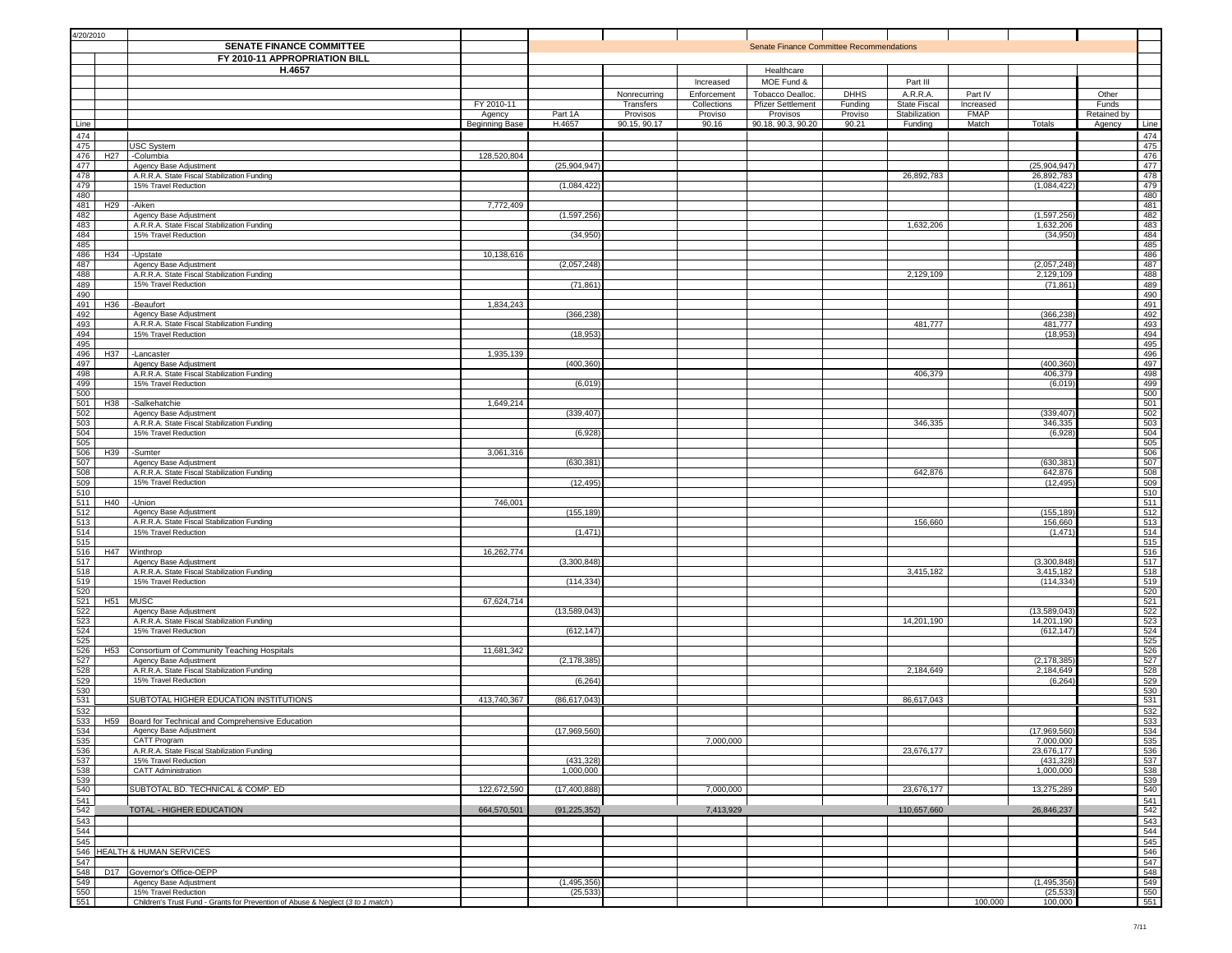| 4/20/2010                                                                                                   |                 |                                                                                 |                      |                |                       |                        |                                          |                    |                                      |                          |                            |                             |            |
|-------------------------------------------------------------------------------------------------------------|-----------------|---------------------------------------------------------------------------------|----------------------|----------------|-----------------------|------------------------|------------------------------------------|--------------------|--------------------------------------|--------------------------|----------------------------|-----------------------------|------------|
|                                                                                                             |                 | <b>SENATE FINANCE COMMITTEE</b><br>FY 2010-11 APPROPRIATION BILL                |                      |                |                       |                        | Senate Finance Committee Recommendations |                    |                                      |                          |                            |                             |            |
|                                                                                                             |                 | H.4657                                                                          |                      |                |                       |                        | Healthcare                               |                    |                                      |                          |                            |                             |            |
|                                                                                                             |                 |                                                                                 |                      |                |                       | Increased              | MOE Fund &                               |                    | Part III                             |                          |                            |                             |            |
|                                                                                                             |                 |                                                                                 |                      |                | Nonrecurring          | Enforcement            | Tobacco Dealloc.                         | <b>DHHS</b>        | A.R.R.A.                             | Part IV                  |                            | Other                       |            |
|                                                                                                             |                 |                                                                                 | FY 2010-11<br>Agency | Part 1A        | Transfers<br>Provisos | Collections<br>Proviso | <b>Pfizer Settlement</b><br>Provisos     | Funding<br>Proviso | <b>State Fiscal</b><br>Stabilization | Increased<br><b>FMAP</b> |                            | Funds<br><b>Retained by</b> |            |
| Line                                                                                                        |                 |                                                                                 | Beginning Base       | H.4657         | 90.15, 90.17          | 90.16                  | 90.18, 90.3, 90.20                       | 90.21              | Funding                              | Match                    | Totals                     | Agency                      | Line       |
| 474                                                                                                         |                 |                                                                                 |                      |                |                       |                        |                                          |                    |                                      |                          |                            |                             | 474        |
| 475                                                                                                         |                 | USC System                                                                      |                      |                |                       |                        |                                          |                    |                                      |                          |                            |                             | 475        |
| 476<br>477                                                                                                  | H <sub>27</sub> | -Columbia<br>Agency Base Adjustment                                             | 128,520,804          | (25, 904, 947) |                       |                        |                                          |                    |                                      |                          | (25, 904, 947)             |                             | 476<br>477 |
| 478                                                                                                         |                 | A.R.R.A. State Fiscal Stabilization Funding                                     |                      |                |                       |                        |                                          |                    | 26,892,783                           |                          | 26,892,783                 |                             | 478        |
| 479                                                                                                         |                 | 15% Travel Reduction                                                            |                      | (1,084,422)    |                       |                        |                                          |                    |                                      |                          | (1,084,422)                |                             | 479        |
| 480<br>481                                                                                                  | H <sub>29</sub> | -Aiken                                                                          | 7,772,409            |                |                       |                        |                                          |                    |                                      |                          |                            |                             | 480<br>481 |
| 482                                                                                                         |                 | Agency Base Adjustment                                                          |                      | (1,597,256)    |                       |                        |                                          |                    |                                      |                          | (1, 597, 256)              |                             | 482        |
| 483                                                                                                         |                 | A.R.R.A. State Fiscal Stabilization Funding                                     |                      |                |                       |                        |                                          |                    | 1,632,206                            |                          | 1,632,206                  |                             | 483        |
| 484<br>485                                                                                                  |                 | 15% Travel Reduction                                                            |                      | (34, 950)      |                       |                        |                                          |                    |                                      |                          | (34,950)                   |                             | 484<br>485 |
| 486                                                                                                         |                 | H34 -Upstate                                                                    | 10,138,616           |                |                       |                        |                                          |                    |                                      |                          |                            |                             | 486        |
| 487                                                                                                         |                 | Agency Base Adjustment                                                          |                      | (2,057,248)    |                       |                        |                                          |                    |                                      |                          | (2,057,248)                |                             | 487        |
| 488<br>489                                                                                                  |                 | A.R.R.A. State Fiscal Stabilization Funding<br>15% Travel Reduction             |                      | (71, 861)      |                       |                        |                                          |                    | 2,129,109                            |                          | 2,129,109<br>(71, 861)     |                             | 488<br>489 |
| 490                                                                                                         |                 |                                                                                 |                      |                |                       |                        |                                          |                    |                                      |                          |                            |                             | 490        |
| 491                                                                                                         | H36             | -Beaufort                                                                       | 1,834,243            |                |                       |                        |                                          |                    |                                      |                          |                            |                             | 491        |
| 492<br>493                                                                                                  |                 | Agency Base Adjustment<br>A.R.R.A. State Fiscal Stabilization Funding           |                      | (366, 238)     |                       |                        |                                          |                    | 481,777                              |                          | (366, 238)<br>481,777      |                             | 492<br>493 |
| 494                                                                                                         |                 | 15% Travel Reduction                                                            |                      | (18, 953)      |                       |                        |                                          |                    |                                      |                          | (18, 953)                  |                             | 494        |
| 495                                                                                                         |                 |                                                                                 |                      |                |                       |                        |                                          |                    |                                      |                          |                            |                             | 495        |
| 496<br>497                                                                                                  | H37             | -Lancaster                                                                      | 1,935,139            | (400, 360)     |                       |                        |                                          |                    |                                      |                          | (400, 360)                 |                             | 496<br>497 |
| 498                                                                                                         |                 | Agency Base Adjustment<br>A.R.R.A. State Fiscal Stabilization Funding           |                      |                |                       |                        |                                          |                    | 406,379                              |                          | 406,379                    |                             |            |
| $\frac{499}{500}$                                                                                           |                 | 15% Travel Reduction                                                            |                      | (6,019)        |                       |                        |                                          |                    |                                      |                          | (6,019)                    |                             | 498<br>499 |
| 501                                                                                                         | H38             |                                                                                 | 1,649,214            |                |                       |                        |                                          |                    |                                      |                          |                            |                             | 500<br>501 |
| 502                                                                                                         |                 | -Salkehatchie<br>Agency Base Adjustment                                         |                      | (339, 407)     |                       |                        |                                          |                    |                                      |                          | (339, 407)                 |                             | 502        |
| 503                                                                                                         |                 | A.R.R.A. State Fiscal Stabilization Funding                                     |                      |                |                       |                        |                                          |                    | 346,335                              |                          | 346,335                    |                             | 503        |
| $\frac{504}{505}$                                                                                           |                 | 15% Travel Reduction                                                            |                      | (6,928)        |                       |                        |                                          |                    |                                      |                          | (6,928)                    |                             | 504        |
| 506                                                                                                         | H39             | -Sumter                                                                         | 3,061,316            |                |                       |                        |                                          |                    |                                      |                          |                            |                             | 505<br>506 |
| 507                                                                                                         |                 | Agency Base Adjustment                                                          |                      | (630, 381)     |                       |                        |                                          |                    |                                      |                          | (630,381                   |                             | 507        |
| 508                                                                                                         |                 | A.R.R.A. State Fiscal Stabilization Funding                                     |                      |                |                       |                        |                                          |                    | 642,876                              |                          | 642,876                    |                             | 508        |
| 509<br>510                                                                                                  |                 | 15% Travel Reduction                                                            |                      | (12, 495)      |                       |                        |                                          |                    |                                      |                          | (12, 495)                  |                             | 509<br>510 |
| 511                                                                                                         | H40             | -Union                                                                          | 746,001              |                |                       |                        |                                          |                    |                                      |                          |                            |                             | 511        |
| 512                                                                                                         |                 | Agency Base Adjustment                                                          |                      | (155, 189)     |                       |                        |                                          |                    |                                      |                          | (155, 189)                 |                             | 512        |
| 513<br>514                                                                                                  |                 | A.R.R.A. State Fiscal Stabilization Funding<br>15% Travel Reduction             |                      | (1, 471)       |                       |                        |                                          |                    | 156,660                              |                          | 156,660<br>(1, 471)        |                             | 513<br>514 |
| 515                                                                                                         |                 |                                                                                 |                      |                |                       |                        |                                          |                    |                                      |                          |                            |                             | 515        |
| 516                                                                                                         | H47             | Winthrop                                                                        | 16,262,774           |                |                       |                        |                                          |                    |                                      |                          |                            |                             | 516        |
| 517<br>518                                                                                                  |                 | Agency Base Adjustment                                                          |                      | (3,300,848)    |                       |                        |                                          |                    | 3,415,182                            |                          | (3,300,848)<br>3,415,182   |                             | 517<br>518 |
| 519                                                                                                         |                 | A.R.R.A. State Fiscal Stabilization Funding<br>15% Travel Reduction             |                      | (114, 334)     |                       |                        |                                          |                    |                                      |                          | (114, 334)                 |                             | 519        |
| $\frac{520}{521}$                                                                                           |                 |                                                                                 |                      |                |                       |                        |                                          |                    |                                      |                          |                            |                             | 520        |
|                                                                                                             | H <sub>51</sub> | MUSC                                                                            | 67,624,714           |                |                       |                        |                                          |                    |                                      |                          |                            |                             | 521        |
| $\begin{array}{r} \n \stackrel{\text{3}{\rightarrow}}{522} \\  \hline\n 523 \\  \hline\n 524\n \end{array}$ |                 | Agency Base Adjustment<br>A.R.R.A. State Fiscal Stabilization Funding           |                      | (13,589,043)   |                       |                        |                                          |                    | 14,201,190                           |                          | (13,589,043)<br>14,201,190 |                             | 522<br>523 |
|                                                                                                             |                 | 15% Travel Reduction                                                            |                      | (612, 147)     |                       |                        |                                          |                    |                                      |                          | (612, 147)                 |                             | 524        |
| 525                                                                                                         |                 |                                                                                 |                      |                |                       |                        |                                          |                    |                                      |                          |                            |                             | 525<br>526 |
| 526<br>527                                                                                                  |                 | H53 Consortium of Community Teaching Hospitals<br>Agency Base Adjustment        | 11,681,342           | (2, 178, 385)  |                       |                        |                                          |                    |                                      |                          | (2, 178, 385)              |                             | 527        |
| $\frac{528}{529}$                                                                                           |                 | A.R.R.A. State Fiscal Stabilization Funding                                     |                      |                |                       |                        |                                          |                    | 2,184,649                            |                          | 2,184,649                  |                             | 528        |
| 530                                                                                                         |                 | 15% Travel Reduction                                                            |                      | (6, 264)       |                       |                        |                                          |                    |                                      |                          | (6, 264)                   |                             | 529<br>530 |
| 531                                                                                                         |                 | SUBTOTAL HIGHER EDUCATION INSTITUTIONS                                          | 413,740,367          | (86, 617, 043) |                       |                        |                                          |                    | 86,617,043                           |                          |                            |                             | 531        |
| $\frac{532}{533}$                                                                                           |                 |                                                                                 |                      |                |                       |                        |                                          |                    |                                      |                          |                            |                             | 532        |
|                                                                                                             |                 | H59 Board for Technical and Comprehensive Education                             |                      |                |                       |                        |                                          |                    |                                      |                          |                            |                             | 533        |
|                                                                                                             |                 | Agency Base Adjustment<br>CATT Program                                          |                      | (17,969,560    |                       | 7,000,000              |                                          |                    |                                      |                          | (17,969,560)<br>7,000,000  |                             | 534<br>535 |
| $\frac{534}{535}$                                                                                           |                 | A.R.R.A. State Fiscal Stabilization Funding                                     |                      |                |                       |                        |                                          |                    | 23,676,177                           |                          | 23,676,177                 |                             | 536        |
| 537                                                                                                         |                 | 15% Travel Reduction                                                            |                      | (431, 328)     |                       |                        |                                          |                    |                                      |                          | (431, 328)                 |                             | 537        |
| 538                                                                                                         |                 | CATT Administration                                                             |                      | 1,000,000      |                       |                        |                                          |                    |                                      |                          | 1,000,000                  |                             | 538<br>539 |
| $\frac{539}{540}$                                                                                           |                 | SUBTOTAL BD. TECHNICAL & COMP. ED                                               | 122,672,590          | (17, 400, 888) |                       | 7,000,000              |                                          |                    | 23,676,177                           |                          | 13,275,289                 |                             | 540        |
| 541                                                                                                         |                 |                                                                                 |                      |                |                       |                        |                                          |                    |                                      |                          |                            |                             | 541        |
| 542<br>543                                                                                                  |                 | <b>TOTAL - HIGHER EDUCATION</b>                                                 | 664,570,501          | (91, 225, 352) |                       | 7,413,929              |                                          |                    | 110,657,660                          |                          | 26,846,237                 |                             | 542<br>543 |
| 544                                                                                                         |                 |                                                                                 |                      |                |                       |                        |                                          |                    |                                      |                          |                            |                             | 544        |
| 545                                                                                                         |                 |                                                                                 |                      |                |                       |                        |                                          |                    |                                      |                          |                            |                             | 545        |
|                                                                                                             |                 | 546 HEALTH & HUMAN SERVICES                                                     |                      |                |                       |                        |                                          |                    |                                      |                          |                            |                             | 546        |
| $\frac{547}{548}$                                                                                           |                 | D17 Governor's Office-OEPP                                                      |                      |                |                       |                        |                                          |                    |                                      |                          |                            |                             | 547<br>548 |
| 549                                                                                                         |                 | Agency Base Adjustment                                                          |                      | (1, 495, 356)  |                       |                        |                                          |                    |                                      |                          | (1, 495, 356)              |                             | 549        |
| $\frac{550}{551}$                                                                                           |                 | 15% Travel Reduction                                                            |                      | (25, 533)      |                       |                        |                                          |                    |                                      |                          | (25, 533)                  |                             | 550        |
|                                                                                                             |                 | Children's Trust Fund - Grants for Prevention of Abuse & Neglect (3 to 1 match) |                      |                |                       |                        |                                          |                    |                                      | 100,000                  | 100,000                    |                             | 551        |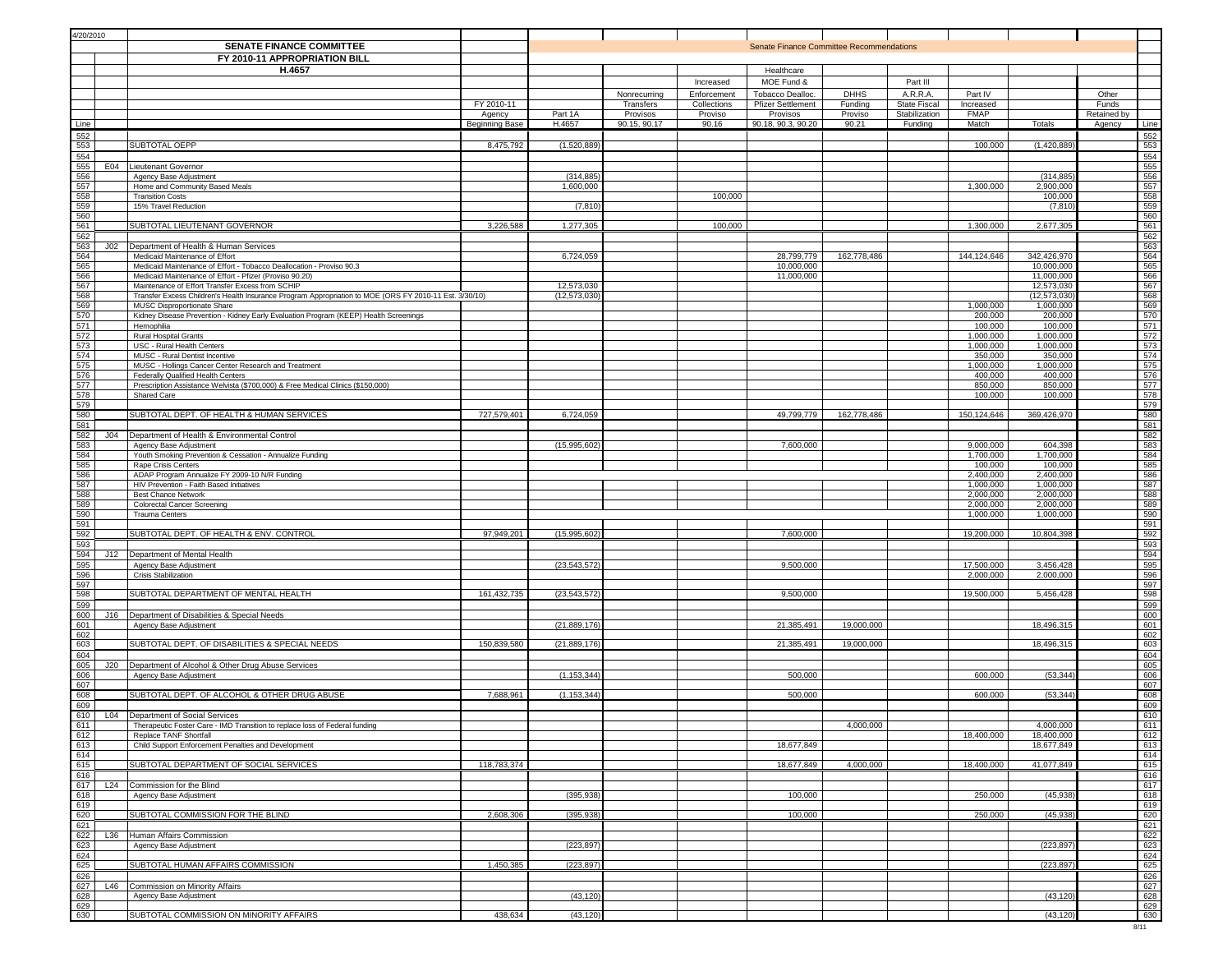| 4/20/2010         |     |                                                                                                                     |                       |                   |                          |                  |                                          |                  |                          |                        |                           |             |            |
|-------------------|-----|---------------------------------------------------------------------------------------------------------------------|-----------------------|-------------------|--------------------------|------------------|------------------------------------------|------------------|--------------------------|------------------------|---------------------------|-------------|------------|
|                   |     | SENATE FINANCE COMMITTEE                                                                                            |                       |                   |                          |                  | Senate Finance Committee Recommendations |                  |                          |                        |                           |             |            |
|                   |     | FY 2010-11 APPROPRIATION BILL                                                                                       |                       |                   |                          |                  |                                          |                  |                          |                        |                           |             |            |
|                   |     | H.4657                                                                                                              |                       |                   |                          |                  | Healthcare                               |                  |                          |                        |                           |             |            |
|                   |     |                                                                                                                     |                       |                   |                          | Increased        | MOE Fund &                               |                  | Part III                 |                        |                           |             |            |
|                   |     |                                                                                                                     |                       |                   | Nonrecurring             | Enforcement      | Tobacco Dealloc.                         | <b>DHHS</b>      | A.R.R.A.                 | Part IV                |                           | Other       |            |
|                   |     |                                                                                                                     | FY 2010-11            |                   | Transfers                | Collections      | <b>Pfizer Settlement</b>                 | Funding          | State Fiscal             | Increased              |                           | Funds       |            |
|                   |     |                                                                                                                     | Agency                | Part 1A<br>H.4657 | Provisos<br>90.15, 90.17 | Proviso<br>90.16 | Provisos<br>90.18, 90.3, 90.20           | Proviso<br>90.21 | Stabilization<br>Funding | <b>FMAP</b><br>Match   | Totals                    | Retained by | Line       |
| Line<br>552       |     |                                                                                                                     | <b>Beginning Base</b> |                   |                          |                  |                                          |                  |                          |                        |                           | Agency      | 552        |
| 553               |     | SUBTOTAL OEPP                                                                                                       | 8,475,792             | (1,520,889)       |                          |                  |                                          |                  |                          | 100,000                | (1,420,889)               |             | 553        |
| 554               |     |                                                                                                                     |                       |                   |                          |                  |                                          |                  |                          |                        |                           |             | 554        |
| 555               |     | E04 Lieutenant Governor                                                                                             |                       |                   |                          |                  |                                          |                  |                          |                        |                           |             | 555        |
| 556               |     | Agency Base Adjustment                                                                                              |                       | (314, 885)        |                          |                  |                                          |                  |                          |                        | (314, 885)                |             | 556        |
| 557<br>558        |     | Home and Community Based Meals<br><b>Transition Costs</b>                                                           |                       | 1,600,000         |                          | 100,000          |                                          |                  |                          | 1,300,000              | 2,900,000<br>100,000      |             | 557<br>558 |
| 559               |     | 15% Travel Reduction                                                                                                |                       | (7, 810)          |                          |                  |                                          |                  |                          |                        | (7, 810)                  |             | 559        |
| 560               |     |                                                                                                                     |                       |                   |                          |                  |                                          |                  |                          |                        |                           |             | 560        |
| 561               |     | SUBTOTAL LIEUTENANT GOVERNOR                                                                                        | 3,226,588             | 1,277,305         |                          | 100,000          |                                          |                  |                          | 1,300,000              | 2,677,305                 |             | 561        |
| 562               |     |                                                                                                                     |                       |                   |                          |                  |                                          |                  |                          |                        |                           |             | 562        |
| 563               | J02 | Department of Health & Human Services                                                                               |                       |                   |                          |                  |                                          |                  |                          |                        |                           |             | 563        |
| 564<br>565        |     | Medicaid Maintenance of Effort<br>Medicaid Maintenance of Effort - Tobacco Deallocation - Proviso 90.3              |                       | 6,724,059         |                          |                  | 28,799,779<br>10,000,000                 | 162,778,486      |                          | 144,124,646            | 342,426,970<br>10,000,000 |             | 564<br>565 |
| 566               |     | Medicaid Maintenance of Effort - Pfizer (Proviso 90.20)                                                             |                       |                   |                          |                  | 11,000,000                               |                  |                          |                        | 11,000,000                |             | 566        |
| 567               |     | Maintenance of Effort Transfer Excess from SCHIP                                                                    |                       | 12,573,030        |                          |                  |                                          |                  |                          |                        | 12,573,030                |             | 567        |
| 568               |     | Transfer Excess Children's Health Insurance Program Appropriation to MOE (ORS FY 2010-11 Est. 3/30/10)              |                       | (12, 573, 030)    |                          |                  |                                          |                  |                          |                        | (12, 573, 030)            |             | 568        |
| 569<br>570        |     | MUSC Disproportionate Share<br>Kidney Disease Prevention - Kidney Early Evaluation Program (KEEP) Health Screenings |                       |                   |                          |                  |                                          |                  |                          | 1,000,000<br>200,000   | 1,000,000<br>200,000      |             | 569<br>570 |
| 571               |     | Hemophilia                                                                                                          |                       |                   |                          |                  |                                          |                  |                          | 100,000                | 100,000                   |             | 571        |
| 572               |     | Rural Hospital Grants                                                                                               |                       |                   |                          |                  |                                          |                  |                          | 1,000,000              | 1,000,000                 |             | 572        |
| 573               |     | USC - Rural Health Centers                                                                                          |                       |                   |                          |                  |                                          |                  |                          | 1,000,000              | 1,000,000                 |             | 573        |
| 574<br>575        |     | MUSC - Rural Dentist Incentive<br>MUSC - Hollings Cancer Center Research and Treatment                              |                       |                   |                          |                  |                                          |                  |                          | 350,000<br>1,000,000   | 350,000<br>1,000,000      |             | 574<br>575 |
| 576               |     | Federally Qualified Health Centers                                                                                  |                       |                   |                          |                  |                                          |                  |                          | 400,000                | 400,000                   |             | 576        |
| 577               |     | Prescription Assistance Welvista (\$700,000) & Free Medical Clinics (\$150,000)                                     |                       |                   |                          |                  |                                          |                  |                          | 850,000                | 850,000                   |             | 577        |
| 578               |     | Shared Care                                                                                                         |                       |                   |                          |                  |                                          |                  |                          | 100,000                | 100,000                   |             | 578        |
| 579               |     | SUBTOTAL DEPT. OF HEALTH & HUMAN SERVICES                                                                           |                       |                   |                          |                  | 49.799.779                               |                  |                          |                        |                           |             | 579        |
| 580<br>581        |     |                                                                                                                     | 727,579,401           | 6,724,059         |                          |                  |                                          | 162,778,486      |                          | 150,124,646            | 369,426,970               |             | 580<br>581 |
| 582               |     | J04   Department of Health & Environmental Control                                                                  |                       |                   |                          |                  |                                          |                  |                          |                        |                           |             | 582        |
| 583               |     | Agency Base Adjustment                                                                                              |                       | (15,995,602)      |                          |                  | 7,600,000                                |                  |                          | 9,000,000              | 604,398                   |             | 583        |
| 584               |     | Youth Smoking Prevention & Cessation - Annualize Funding                                                            |                       |                   |                          |                  |                                          |                  |                          | 1,700,000              | 1,700,000                 |             | 584        |
| 585               |     | Rape Crisis Centers                                                                                                 |                       |                   |                          |                  |                                          |                  |                          | 100,000                | 100,000                   |             | 585        |
| 586<br>587        |     | ADAP Program Annualize FY 2009-10 N/R Funding<br>HIV Prevention - Faith Based Initiatives                           |                       |                   |                          |                  |                                          |                  |                          | 2,400,000<br>1,000,000 | 2,400,000<br>1,000,000    |             | 586<br>587 |
| 588               |     | <b>Best Chance Network</b>                                                                                          |                       |                   |                          |                  |                                          |                  |                          | 2,000,000              | 2,000,000                 |             | 588        |
| 589               |     | <b>Colorectal Cancer Screening</b>                                                                                  |                       |                   |                          |                  |                                          |                  |                          | 2,000,000              | 2,000,000                 |             | 589        |
| 590               |     | <b>Trauma Centers</b>                                                                                               |                       |                   |                          |                  |                                          |                  |                          | 1,000,000              | 1,000,000                 |             | 590        |
| 591<br>592        |     | SUBTOTAL DEPT. OF HEALTH & ENV. CONTROL                                                                             | 97,949,201            | (15,995,602)      |                          |                  | 7,600,000                                |                  |                          | 19,200,000             | 10,804,398                |             | 591        |
| 593               |     |                                                                                                                     |                       |                   |                          |                  |                                          |                  |                          |                        |                           |             | 592<br>593 |
| 594               | J12 | Department of Mental Health                                                                                         |                       |                   |                          |                  |                                          |                  |                          |                        |                           |             | 594        |
| 595               |     | Agency Base Adjustment                                                                                              |                       | (23, 543, 572)    |                          |                  | 9,500,000                                |                  |                          | 17,500,000             | 3,456,428                 |             | 595        |
| 596               |     | Crisis Stabilization                                                                                                |                       |                   |                          |                  |                                          |                  |                          | 2,000,000              | 2,000,000                 |             | 596        |
| 597<br>598        |     | SUBTOTAL DEPARTMENT OF MENTAL HEALTH                                                                                | 161,432,735           | (23, 543, 572)    |                          |                  | 9,500,000                                |                  |                          | 19,500,000             | 5,456,428                 |             | 597<br>598 |
| 599               |     |                                                                                                                     |                       |                   |                          |                  |                                          |                  |                          |                        |                           |             | 599        |
| 600               |     | J16  Department of Disabilities & Special Needs                                                                     |                       |                   |                          |                  |                                          |                  |                          |                        |                           |             | 600        |
| 601               |     | Agency Base Adjustment                                                                                              |                       | (21, 889, 176)    |                          |                  | 21,385,491                               | 19,000,000       |                          |                        | 18,496,315                |             | 601        |
| 602               |     | SUBTOTAL DEPT. OF DISABILITIES & SPECIAL NEEDS                                                                      | 150,839,580           |                   |                          |                  | 21.385.491                               |                  |                          |                        |                           |             | 602        |
| 603<br>604        |     |                                                                                                                     |                       | (21, 889, 176)    |                          |                  |                                          | 19,000,000       |                          |                        | 18,496,315                |             | 603<br>604 |
| 605               |     | J20   Department of Alcohol & Other Drug Abuse Services                                                             |                       |                   |                          |                  |                                          |                  |                          |                        |                           |             | 605        |
| 606               |     | Agency Base Adjustment                                                                                              |                       | (1, 153, 344)     |                          |                  | 500,000                                  |                  |                          | 600,000                | (53, 344)                 |             | 606        |
| 607               |     |                                                                                                                     |                       |                   |                          |                  |                                          |                  |                          |                        |                           |             | 607        |
| 608               |     | SUBTOTAL DEPT. OF ALCOHOL & OTHER DRUG ABUSE                                                                        | 7,688,96              | (1, 153, 344)     |                          |                  | 500,000                                  |                  |                          | 600,000                | (53, 344)                 |             | 608        |
| 609<br>610        |     | L04   Department of Social Services                                                                                 |                       |                   |                          |                  |                                          |                  |                          |                        |                           |             | 609<br>610 |
|                   |     | Therapeutic Foster Care - IMD Transition to replace loss of Federal funding                                         |                       |                   |                          |                  |                                          | 4,000,000        |                          |                        | 4,000,000                 |             | 611        |
| $\frac{611}{612}$ |     | Replace TANF Shortfall                                                                                              |                       |                   |                          |                  |                                          |                  |                          | 18,400,000             | 18,400,000                |             | 612        |
| 613               |     | Child Support Enforcement Penalties and Development                                                                 |                       |                   |                          |                  | 18,677,849                               |                  |                          |                        | 18,677,849                |             | 613        |
| 614<br>615        |     | SUBTOTAL DEPARTMENT OF SOCIAL SERVICES                                                                              | 118,783,374           |                   |                          |                  | 18,677,849                               | 4,000,000        |                          | 18,400,000             | 41,077,849                |             | 614<br>615 |
| 616               |     |                                                                                                                     |                       |                   |                          |                  |                                          |                  |                          |                        |                           |             | 616        |
|                   |     | 617 L24 Commission for the Blind                                                                                    |                       |                   |                          |                  |                                          |                  |                          |                        |                           |             | 617        |
| 618               |     | Agency Base Adjustment                                                                                              |                       | (395, 938)        |                          |                  | 100,000                                  |                  |                          | 250,000                | (45, 938)                 |             | 618        |
| 619               |     |                                                                                                                     |                       |                   |                          |                  |                                          |                  |                          |                        |                           |             | 619        |
| 620               |     | SUBTOTAL COMMISSION FOR THE BLIND                                                                                   | 2,608,306             | (395, 938)        |                          |                  | 100,000                                  |                  |                          | 250,000                | (45, 938)                 |             | 620        |
| 621<br>622        |     | L36 Human Affairs Commission                                                                                        |                       |                   |                          |                  |                                          |                  |                          |                        |                           |             | 621<br>622 |
| 623               |     | Agency Base Adjustment                                                                                              |                       | (223, 897)        |                          |                  |                                          |                  |                          |                        | (223, 897)                |             | 623        |
| 624               |     |                                                                                                                     |                       |                   |                          |                  |                                          |                  |                          |                        |                           |             | 624        |
| 625               |     | SUBTOTAL HUMAN AFFAIRS COMMISSION                                                                                   | 1,450,385             | (223, 897)        |                          |                  |                                          |                  |                          |                        | (223, 897)                |             | 625        |
| 626               |     |                                                                                                                     |                       |                   |                          |                  |                                          |                  |                          |                        |                           |             | 626        |
| 627<br>628        |     | L46 Commission on Minority Affairs<br>Agency Base Adjustment                                                        |                       | (43, 120)         |                          |                  |                                          |                  |                          |                        | (43, 120)                 |             | 627<br>628 |
| 629               |     |                                                                                                                     |                       |                   |                          |                  |                                          |                  |                          |                        |                           |             | 629        |
| 630               |     | SUBTOTAL COMMISSION ON MINORITY AFFAIRS                                                                             | 438,634               | (43, 120)         |                          |                  |                                          |                  |                          |                        | (43, 120)                 |             | 630        |
|                   |     |                                                                                                                     |                       |                   |                          |                  |                                          |                  |                          |                        |                           |             | 8/11       |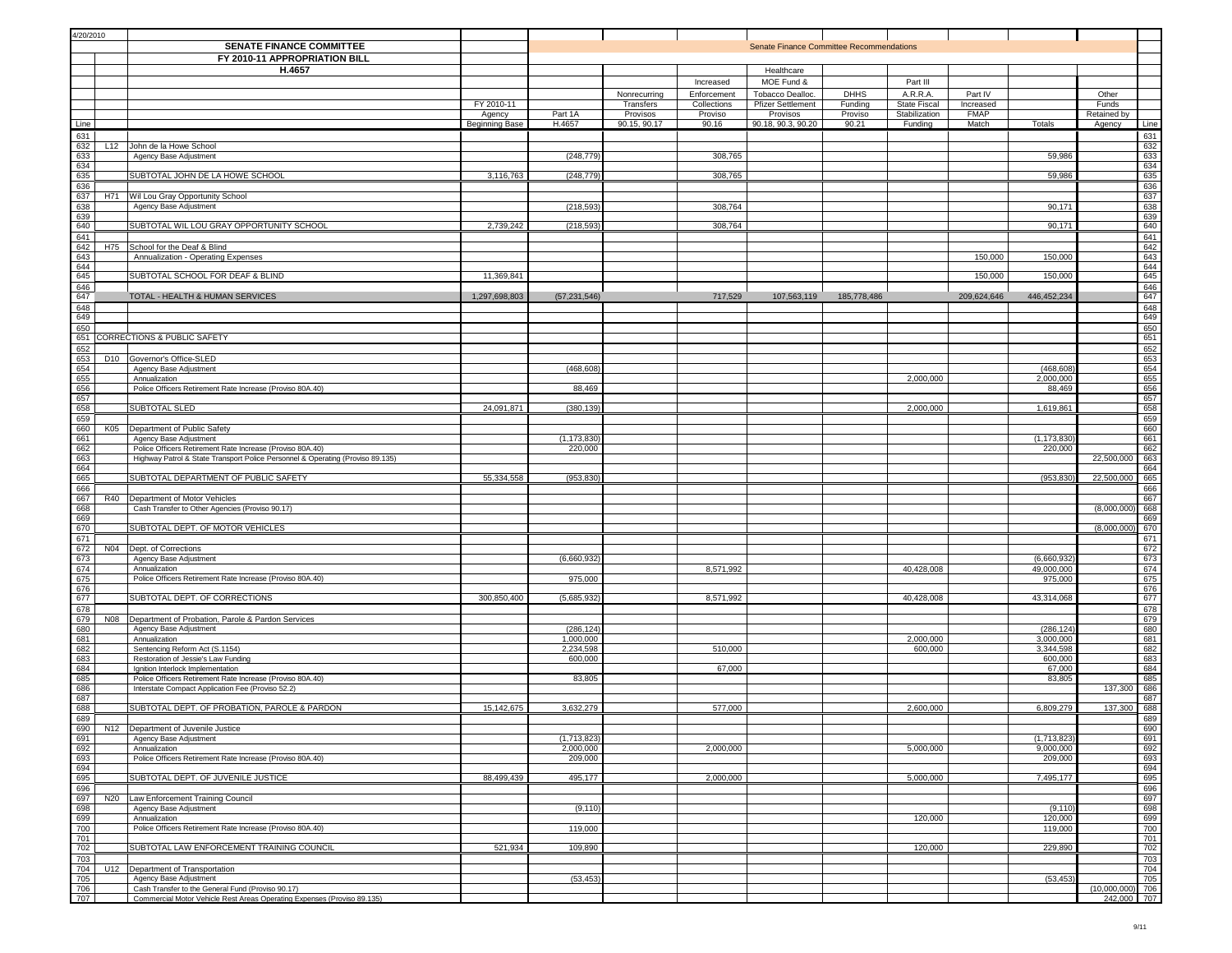| 4/20/2010                       |                                                                                     |                |                          |                           |                            |                                                 |                        |                                 |                      |                          |                |            |
|---------------------------------|-------------------------------------------------------------------------------------|----------------|--------------------------|---------------------------|----------------------------|-------------------------------------------------|------------------------|---------------------------------|----------------------|--------------------------|----------------|------------|
|                                 | <b>SENATE FINANCE COMMITTEE</b>                                                     |                |                          |                           |                            | <b>Senate Finance Committee Recommendations</b> |                        |                                 |                      |                          |                |            |
|                                 | FY 2010-11 APPROPRIATION BILL                                                       |                |                          |                           |                            |                                                 |                        |                                 |                      |                          |                |            |
|                                 | H.4657                                                                              |                |                          |                           |                            | Healthcare                                      |                        |                                 |                      |                          |                |            |
|                                 |                                                                                     |                |                          |                           | Increased                  | MOE Fund &                                      |                        | Part III                        |                      |                          |                |            |
|                                 |                                                                                     | FY 2010-11     |                          | Nonrecurring<br>Transfers | Enforcement<br>Collections | Tobacco Dealloc.<br><b>Pfizer Settlement</b>    | <b>DHHS</b><br>Funding | A.R.R.A.<br><b>State Fiscal</b> | Part IV<br>Increased |                          | Other<br>Funds |            |
|                                 |                                                                                     | Agency         | Part 1A                  | Provisos                  | Proviso                    | Provisos                                        | Proviso                | Stabilization                   | <b>FMAP</b>          |                          | Retained by    |            |
| Line                            |                                                                                     | Beginning Base | H.4657                   | 90.15, 90.17              | 90.16                      | 90.18, 90.3, 90.20                              | 90.21                  | Funding                         | Match                | Totals                   | Agency         | Line       |
| 631                             |                                                                                     |                |                          |                           |                            |                                                 |                        |                                 |                      |                          |                | 631        |
| 632                             | L12 John de la Howe School                                                          |                |                          |                           |                            |                                                 |                        |                                 |                      |                          |                | 632        |
| 633<br>634                      | Agency Base Adjustment                                                              |                | (248, 779)               |                           | 308,765                    |                                                 |                        |                                 |                      | 59,986                   |                | 633<br>634 |
| 635                             | SUBTOTAL JOHN DE LA HOWE SCHOOL                                                     | 3,116,763      | (248, 779)               |                           | 308,765                    |                                                 |                        |                                 |                      | 59,986                   |                | 635        |
| 636                             |                                                                                     |                |                          |                           |                            |                                                 |                        |                                 |                      |                          |                | 636        |
| 637<br>638                      | H71 Wil Lou Gray Opportunity School<br>Agency Base Adjustment                       |                | (218, 593)               |                           | 308,764                    |                                                 |                        |                                 |                      | 90,171                   |                | 637<br>638 |
| 639                             |                                                                                     |                |                          |                           |                            |                                                 |                        |                                 |                      |                          |                | 639        |
| 640                             | SUBTOTAL WIL LOU GRAY OPPORTUNITY SCHOOL                                            | 2,739,242      | (218, 593)               |                           | 308,764                    |                                                 |                        |                                 |                      | 90,171                   |                | 640        |
| 641                             |                                                                                     |                |                          |                           |                            |                                                 |                        |                                 |                      |                          |                | 641        |
| 642<br>643                      | H75 School for the Deaf & Blind<br>Annualization - Operating Expenses               |                |                          |                           |                            |                                                 |                        |                                 | 150,000              | 150,000                  |                | 642<br>643 |
| 644                             |                                                                                     |                |                          |                           |                            |                                                 |                        |                                 |                      |                          |                | 644        |
| 645                             | SUBTOTAL SCHOOL FOR DEAF & BLIND                                                    | 11,369,841     |                          |                           |                            |                                                 |                        |                                 | 150,000              | 150,000                  |                | 645        |
| 646<br>647                      |                                                                                     |                | (57, 231, 546)           |                           | 717,529                    | 107,563,119                                     |                        |                                 | 209,624,646          | 446,452,234              |                | 646<br>647 |
| 648                             | TOTAL - HEALTH & HUMAN SERVICES                                                     | 1,297,698,803  |                          |                           |                            |                                                 | 185,778,486            |                                 |                      |                          |                | 648        |
| 649                             |                                                                                     |                |                          |                           |                            |                                                 |                        |                                 |                      |                          |                | 649        |
| 650                             |                                                                                     |                |                          |                           |                            |                                                 |                        |                                 |                      |                          |                | 650        |
| 651<br>652                      | CORRECTIONS & PUBLIC SAFETY                                                         |                |                          |                           |                            |                                                 |                        |                                 |                      |                          |                | 651<br>652 |
| 653<br>D <sub>10</sub>          | Governor's Office-SLED                                                              |                |                          |                           |                            |                                                 |                        |                                 |                      |                          |                | 653        |
| 654                             | Agency Base Adjustment                                                              |                | (468,608                 |                           |                            |                                                 |                        |                                 |                      | (468, 608)               |                | 654        |
| 655                             | Annualization                                                                       |                |                          |                           |                            |                                                 |                        | 2,000,000                       |                      | 2,000,000                |                | 655        |
| 656<br>657                      | Police Officers Retirement Rate Increase (Proviso 80A.40)                           |                | 88,469                   |                           |                            |                                                 |                        |                                 |                      | 88,469                   |                | 656<br>657 |
| $rac{001}{658}$                 | SUBTOTAL SLED                                                                       | 24,091,871     | (380, 139)               |                           |                            |                                                 |                        | 2,000,000                       |                      | 1,619,861                |                | 658        |
| 659                             |                                                                                     |                |                          |                           |                            |                                                 |                        |                                 |                      |                          |                | 659        |
| 660<br>K05                      | Department of Public Safety                                                         |                |                          |                           |                            |                                                 |                        |                                 |                      |                          |                | 660<br>661 |
| 661<br>662                      | Agency Base Adjustment<br>Police Officers Retirement Rate Increase (Proviso 80A.40) |                | (1, 173, 830)<br>220,000 |                           |                            |                                                 |                        |                                 |                      | (1, 173, 830)<br>220,000 |                | 662        |
| 663                             | Highway Patrol & State Transport Police Personnel & Operating (Proviso 89.135)      |                |                          |                           |                            |                                                 |                        |                                 |                      |                          | 22,500,000     | 663        |
| $\frac{664}{665}$               |                                                                                     |                |                          |                           |                            |                                                 |                        |                                 |                      |                          |                | 664        |
| 666                             | SUBTOTAL DEPARTMENT OF PUBLIC SAFETY                                                | 55,334,558     | (953, 830)               |                           |                            |                                                 |                        |                                 |                      | (953, 830)               | 22,500,000     | 665<br>666 |
| 667<br>R40                      | Department of Motor Vehicles                                                        |                |                          |                           |                            |                                                 |                        |                                 |                      |                          |                | 667        |
| 668                             | Cash Transfer to Other Agencies (Proviso 90.17)                                     |                |                          |                           |                            |                                                 |                        |                                 |                      |                          | (8,000,000)    | 668        |
| 669<br>670                      | SUBTOTAL DEPT. OF MOTOR VEHICLES                                                    |                |                          |                           |                            |                                                 |                        |                                 |                      |                          | (8,000,000)    | 669        |
| 671                             |                                                                                     |                |                          |                           |                            |                                                 |                        |                                 |                      |                          |                | 670<br>671 |
| 672                             | N04 Dept. of Corrections                                                            |                |                          |                           |                            |                                                 |                        |                                 |                      |                          |                | 672        |
| 673                             | Agency Base Adjustment                                                              |                | (6,660,932)              |                           |                            |                                                 |                        |                                 |                      | (6,660,932)              |                | 673        |
| 674<br>675                      | Annualization<br>Police Officers Retirement Rate Increase (Proviso 80A.40)          |                | 975,000                  |                           | 8,571,992                  |                                                 |                        | 40,428,008                      |                      | 49,000,000<br>975,000    |                | 674<br>675 |
| 676                             |                                                                                     |                |                          |                           |                            |                                                 |                        |                                 |                      |                          |                | 676        |
| 677                             | SUBTOTAL DEPT. OF CORRECTIONS                                                       | 300,850,400    | (5,685,932)              |                           | 8,571,992                  |                                                 |                        | 40,428,008                      |                      | 43,314,068               |                | 677        |
| 678                             |                                                                                     |                |                          |                           |                            |                                                 |                        |                                 |                      |                          |                | 678        |
| 679<br>680                      | N08   Department of Probation, Parole & Pardon Services<br>Agency Base Adjustment   |                | (286, 124)               |                           |                            |                                                 |                        |                                 |                      | (286, 124)               |                | 679<br>680 |
| 681                             | Annualization                                                                       |                | 1,000,000                |                           |                            |                                                 |                        | 2,000,000                       |                      | 3,000,000                |                | 681        |
| 682                             | Sentencing Reform Act (S.1154)                                                      |                | 2,234,598                |                           | 510,000                    |                                                 |                        | 600,000                         |                      | 3,344,598                |                | 682        |
| 683<br>684                      | Restoration of Jessie's Law Funding<br>Ignition Interlock Implementation            |                | 600,000                  |                           | 67,000                     |                                                 |                        |                                 |                      | 600,000<br>67,000        |                | 683<br>684 |
| 685                             | Police Officers Retirement Rate Increase (Proviso 80A.40)                           |                | 83,805                   |                           |                            |                                                 |                        |                                 |                      | 83,805                   |                | 685        |
| 686                             | Interstate Compact Application Fee (Proviso 52.2)                                   |                |                          |                           |                            |                                                 |                        |                                 |                      |                          | 137,300        | 686        |
| 687<br>688                      | SUBTOTAL DEPT. OF PROBATION, PAROLE & PARDON                                        | 15, 142, 675   | 3,632,279                |                           | 577,000                    |                                                 |                        | 2,600,000                       |                      | 6,809,279                | 137,300        | 687<br>688 |
| 689                             |                                                                                     |                |                          |                           |                            |                                                 |                        |                                 |                      |                          |                | 689        |
|                                 | N12 Department of Juvenile Justice                                                  |                |                          |                           |                            |                                                 |                        |                                 |                      |                          |                | 690        |
| 690<br>692<br>693<br>695<br>695 | Agency Base Adjustment                                                              |                | (1,713,823)              |                           |                            |                                                 |                        |                                 |                      | (1,713,823)              |                | 691        |
|                                 | Annualization<br>Police Officers Retirement Rate Increase (Proviso 80A.40)          |                | 2,000,000<br>209,000     |                           | 2,000,000                  |                                                 |                        | 5,000,000                       |                      | 9,000,000<br>209,000     |                | 692<br>693 |
|                                 |                                                                                     |                |                          |                           |                            |                                                 |                        |                                 |                      |                          |                | 694        |
|                                 | SUBTOTAL DEPT. OF JUVENILE JUSTICE                                                  | 88,499,439     | 495,177                  |                           | 2,000,000                  |                                                 |                        | 5,000,000                       |                      | 7,495,177                |                | 695        |
| 696<br>697                      | N20   Law Enforcement Training Council                                              |                |                          |                           |                            |                                                 |                        |                                 |                      |                          |                | 696<br>697 |
| 698                             | Agency Base Adjustment                                                              |                | (9, 110)                 |                           |                            |                                                 |                        |                                 |                      | (9, 110)                 |                | 698        |
| $-699$                          | Annualization                                                                       |                |                          |                           |                            |                                                 |                        | 120,000                         |                      | 120,000                  |                | 699        |
| 700                             | Police Officers Retirement Rate Increase (Proviso 80A.40)                           |                | 119,000                  |                           |                            |                                                 |                        |                                 |                      | 119,000                  |                | 700        |
| 701<br>702                      | SUBTOTAL LAW ENFORCEMENT TRAINING COUNCIL                                           | 521,934        | 109,890                  |                           |                            |                                                 |                        | 120,000                         |                      | 229,890                  |                | 701<br>702 |
| 703                             |                                                                                     |                |                          |                           |                            |                                                 |                        |                                 |                      |                          |                | 703        |
| 704                             | U12 Department of Transportation                                                    |                |                          |                           |                            |                                                 |                        |                                 |                      |                          |                | 704        |
| 705<br>706                      | Agency Base Adjustment<br>Cash Transfer to the General Fund (Proviso 90.17)         |                | (53, 453)                |                           |                            |                                                 |                        |                                 |                      | (53, 453)                | (10,000,000)   | 705<br>706 |
| 707                             | Commercial Motor Vehicle Rest Areas Operating Expenses (Proviso 89.135)             |                |                          |                           |                            |                                                 |                        |                                 |                      |                          | 242,000 707    |            |
|                                 |                                                                                     |                |                          |                           |                            |                                                 |                        |                                 |                      |                          |                |            |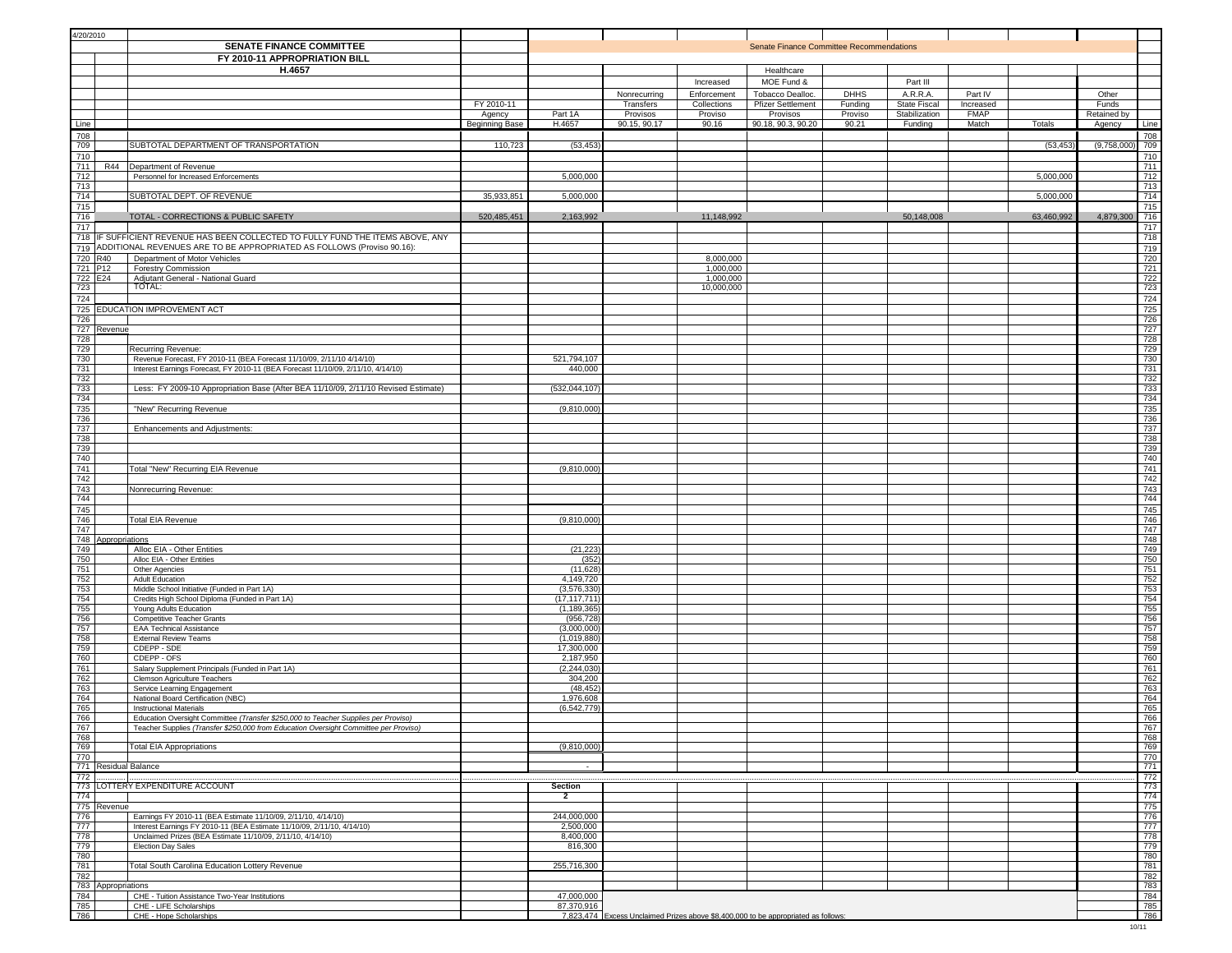| 4/20/2010  |                    | SENATE FINANCE COMMITTEE<br>FY 2010-11 APPROPRIATION BILL                                                                                                     |                                        |                               |                                                       |                                                | Senate Finance Committee Recommendations                                           |                                            |                                                             |                                              |            |                                         |                   |
|------------|--------------------|---------------------------------------------------------------------------------------------------------------------------------------------------------------|----------------------------------------|-------------------------------|-------------------------------------------------------|------------------------------------------------|------------------------------------------------------------------------------------|--------------------------------------------|-------------------------------------------------------------|----------------------------------------------|------------|-----------------------------------------|-------------------|
|            |                    | H.4657                                                                                                                                                        |                                        |                               |                                                       | Increased                                      | Healthcare<br>MOE Fund &                                                           |                                            | Part III                                                    |                                              |            |                                         |                   |
| Line       |                    |                                                                                                                                                               | FY 2010-11<br>Agency<br>Beginning Base | Part 1A<br>H.4657             | Nonrecurring<br>Transfers<br>Provisos<br>90.15, 90.17 | Enforcement<br>Collections<br>Proviso<br>90.16 | Tobacco Dealloc.<br><b>Pfizer Settlement</b><br>Provisos<br>90.18, 90.3, 90.20     | <b>DHHS</b><br>Funding<br>Proviso<br>90.21 | A.R.R.A.<br><b>State Fiscal</b><br>Stabilization<br>Funding | Part IV<br>Increased<br><b>FMAP</b><br>Match | Totals     | Other<br>Funds<br>Retained by<br>Agency | Line              |
| 708        |                    |                                                                                                                                                               |                                        |                               |                                                       |                                                |                                                                                    |                                            |                                                             |                                              |            |                                         | 708               |
| 709<br>710 |                    | SUBTOTAL DEPARTMENT OF TRANSPORTATION                                                                                                                         | 110,723                                | (53, 453)                     |                                                       |                                                |                                                                                    |                                            |                                                             |                                              | (53, 453)  | (9,758,000)                             | 709<br>710        |
| 711<br>712 | <b>R44</b>         | Department of Revenue<br>Personnel for Increased Enforcements                                                                                                 |                                        | 5,000,000                     |                                                       |                                                |                                                                                    |                                            |                                                             |                                              | 5,000,000  |                                         | 711<br>712        |
| 713<br>714 |                    | SUBTOTAL DEPT. OF REVENUE                                                                                                                                     | 35,933,851                             | 5,000,000                     |                                                       |                                                |                                                                                    |                                            |                                                             |                                              | 5,000,000  |                                         | 713<br>714        |
| 715<br>716 |                    | TOTAL - CORRECTIONS & PUBLIC SAFETY                                                                                                                           | 520,485,451                            | 2,163,992                     |                                                       | 11,148,992                                     |                                                                                    |                                            | 50,148,008                                                  |                                              | 63,460,992 | 4,879,300                               | 715<br>716        |
| 717        |                    |                                                                                                                                                               |                                        |                               |                                                       |                                                |                                                                                    |                                            |                                                             |                                              |            |                                         | 717               |
|            |                    | 718 IF SUFFICIENT REVENUE HAS BEEN COLLECTED TO FULLY FUND THE ITEMS ABOVE, ANY<br>719 ADDITIONAL REVENUES ARE TO BE APPROPRIATED AS FOLLOWS (Proviso 90.16): |                                        |                               |                                                       |                                                |                                                                                    |                                            |                                                             |                                              |            |                                         | 718<br>719        |
| 721 P12    | 720 R40            | Department of Motor Vehicles<br><b>Forestry Commission</b>                                                                                                    |                                        |                               |                                                       | 8,000,000<br>1,000,000                         |                                                                                    |                                            |                                                             |                                              |            |                                         | 720<br>721        |
| 723        | 722 E24            | Adjutant General - National Guard<br>TOTAL:                                                                                                                   |                                        |                               |                                                       | 1,000,000<br>10,000,000                        |                                                                                    |                                            |                                                             |                                              |            |                                         | 722<br>723        |
| 724        |                    |                                                                                                                                                               |                                        |                               |                                                       |                                                |                                                                                    |                                            |                                                             |                                              |            |                                         | 724               |
| 726        |                    | 725 EDUCATION IMPROVEMENT ACT                                                                                                                                 |                                        |                               |                                                       |                                                |                                                                                    |                                            |                                                             |                                              |            |                                         | 725<br>726<br>727 |
| 728        | 727 Revenue        |                                                                                                                                                               |                                        |                               |                                                       |                                                |                                                                                    |                                            |                                                             |                                              |            |                                         | 728               |
| 729<br>730 |                    | Recurring Revenue:                                                                                                                                            |                                        |                               |                                                       |                                                |                                                                                    |                                            |                                                             |                                              |            |                                         | 729               |
| 731        |                    | Revenue Forecast, FY 2010-11 (BEA Forecast 11/10/09, 2/11/10 4/14/10)<br>Interest Earnings Forecast, FY 2010-11 (BEA Forecast 11/10/09, 2/11/10, 4/14/10)     |                                        | 521,794,107<br>440,000        |                                                       |                                                |                                                                                    |                                            |                                                             |                                              |            |                                         | 730<br>731        |
| 732<br>733 |                    | Less: FY 2009-10 Appropriation Base (After BEA 11/10/09, 2/11/10 Revised Estimate)                                                                            |                                        | (532, 044, 107)               |                                                       |                                                |                                                                                    |                                            |                                                             |                                              |            |                                         | 732<br>733        |
| 734<br>735 |                    | "New" Recurring Revenue                                                                                                                                       |                                        | (9,810,000)                   |                                                       |                                                |                                                                                    |                                            |                                                             |                                              |            |                                         | 734<br>735        |
| 736<br>737 |                    | Enhancements and Adjustments:                                                                                                                                 |                                        |                               |                                                       |                                                |                                                                                    |                                            |                                                             |                                              |            |                                         | 736<br>737        |
| 738        |                    |                                                                                                                                                               |                                        |                               |                                                       |                                                |                                                                                    |                                            |                                                             |                                              |            |                                         | 738               |
| 739<br>740 |                    |                                                                                                                                                               |                                        |                               |                                                       |                                                |                                                                                    |                                            |                                                             |                                              |            |                                         | 739<br>740        |
| 741<br>742 |                    | Total "New" Recurring EIA Revenue                                                                                                                             |                                        | (9,810,000)                   |                                                       |                                                |                                                                                    |                                            |                                                             |                                              |            |                                         | 741<br>742        |
| 743<br>744 |                    | Nonrecurring Revenue:                                                                                                                                         |                                        |                               |                                                       |                                                |                                                                                    |                                            |                                                             |                                              |            |                                         | 743<br>744        |
| 745        |                    |                                                                                                                                                               |                                        |                               |                                                       |                                                |                                                                                    |                                            |                                                             |                                              |            |                                         | 745               |
| 746<br>747 |                    | <b>Total EIA Revenue</b>                                                                                                                                      |                                        | (9,810,000)                   |                                                       |                                                |                                                                                    |                                            |                                                             |                                              |            |                                         | 746<br>747        |
| 749        | 748 Appropriations | Alloc EIA - Other Entities                                                                                                                                    |                                        | (21, 223)                     |                                                       |                                                |                                                                                    |                                            |                                                             |                                              |            |                                         | 748<br>749        |
| 750<br>751 |                    | Alloc EIA - Other Entities                                                                                                                                    |                                        | (352)<br>(11,628)             |                                                       |                                                |                                                                                    |                                            |                                                             |                                              |            |                                         | 750<br>751        |
| 752        |                    | Other Agencies<br>Adult Education                                                                                                                             |                                        | 4,149,720                     |                                                       |                                                |                                                                                    |                                            |                                                             |                                              |            |                                         | $\frac{752}{753}$ |
| 753<br>754 |                    | Middle School Initiative (Funded in Part 1A)<br>Credits High School Diploma (Funded in Part 1A)                                                               |                                        | (3,576,330)<br>(17, 117, 711) |                                                       |                                                |                                                                                    |                                            |                                                             |                                              |            |                                         | 754               |
| 755<br>756 |                    | Young Adults Education<br><b>Competitive Teacher Grants</b>                                                                                                   |                                        | (1, 189, 365)<br>(956, 728)   |                                                       |                                                |                                                                                    |                                            |                                                             |                                              |            |                                         | 755<br>756<br>757 |
| 757<br>758 |                    | <b>EAA Technical Assistance</b><br><b>External Review Teams</b>                                                                                               |                                        | (3,000,000)<br>(1,019,880)    |                                                       |                                                |                                                                                    |                                            |                                                             |                                              |            |                                         | 758               |
| 759        |                    | CDEPP - SDE                                                                                                                                                   |                                        | 17,300,000                    |                                                       |                                                |                                                                                    |                                            |                                                             |                                              |            |                                         | 759               |
| 760<br>761 |                    | CDEPP - OFS<br>Salary Supplement Principals (Funded in Part 1A)                                                                                               |                                        | 2,187,950<br>(2, 244, 030)    |                                                       |                                                |                                                                                    |                                            |                                                             |                                              |            |                                         | 760<br>761        |
| 762<br>763 |                    | Clemson Agriculture Teachers<br>Service Learning Engagement                                                                                                   |                                        | 304,200<br>(48, 452)          |                                                       |                                                |                                                                                    |                                            |                                                             |                                              |            |                                         | 762<br>763        |
| 764<br>765 |                    | National Board Certification (NBC)<br><b>Instructional Materials</b>                                                                                          |                                        | 1,976,608<br>(6,542,779)      |                                                       |                                                |                                                                                    |                                            |                                                             |                                              |            |                                         | 764<br>765        |
| 766        |                    | Education Oversight Committee (Transfer \$250,000 to Teacher Supplies per Proviso)                                                                            |                                        |                               |                                                       |                                                |                                                                                    |                                            |                                                             |                                              |            |                                         | 766               |
| 767<br>768 |                    | Teacher Supplies (Transfer \$250,000 from Education Oversight Committee per Proviso)                                                                          |                                        |                               |                                                       |                                                |                                                                                    |                                            |                                                             |                                              |            |                                         | 767<br>768        |
| 769<br>770 |                    | <b>Total EIA Appropriations</b>                                                                                                                               |                                        | (9,810,000)                   |                                                       |                                                |                                                                                    |                                            |                                                             |                                              |            |                                         | 769<br>770        |
| 772        |                    | 771 Residual Balance                                                                                                                                          |                                        |                               |                                                       |                                                |                                                                                    |                                            |                                                             |                                              |            |                                         | 771<br>772        |
|            |                    | 773 LOTTERY EXPENDITURE ACCOUNT                                                                                                                               |                                        | Section                       |                                                       |                                                |                                                                                    |                                            |                                                             |                                              |            |                                         | 773               |
| 774        | 775 Revenue        |                                                                                                                                                               |                                        | 2                             |                                                       |                                                |                                                                                    |                                            |                                                             |                                              |            |                                         | 774<br>775        |
| 776<br>777 |                    | Earnings FY 2010-11 (BEA Estimate 11/10/09, 2/11/10, 4/14/10)<br>Interest Earnings FY 2010-11 (BEA Estimate 11/10/09, 2/11/10, 4/14/10)                       |                                        | 244,000,000<br>2,500,000      |                                                       |                                                |                                                                                    |                                            |                                                             |                                              |            |                                         | 776<br>777        |
| 778<br>779 |                    | Unclaimed Prizes (BEA Estimate 11/10/09, 2/11/10, 4/14/10)<br>Election Day Sales                                                                              |                                        | 8,400,000<br>816,300          |                                                       |                                                |                                                                                    |                                            |                                                             |                                              |            |                                         | 778<br>779        |
| 780<br>781 |                    | <b>Total South Carolina Education Lottery Revenue</b>                                                                                                         |                                        | 255,716,300                   |                                                       |                                                |                                                                                    |                                            |                                                             |                                              |            |                                         | 780<br>781        |
| 782        |                    |                                                                                                                                                               |                                        |                               |                                                       |                                                |                                                                                    |                                            |                                                             |                                              |            |                                         | 782               |
| 784        | 783 Appropriations | CHE - Tuition Assistance Two-Year Institutions                                                                                                                |                                        | 47,000,000                    |                                                       |                                                |                                                                                    |                                            |                                                             |                                              |            |                                         | 783<br>784        |
| 785<br>786 |                    | CHE - LIFE Scholarships<br>CHE - Hope Scholarships                                                                                                            |                                        | 87,370,916                    |                                                       |                                                | 7,823,474 Excess Unclaimed Prizes above \$8,400,000 to be appropriated as follows: |                                            |                                                             |                                              |            |                                         | 785<br>786        |
|            |                    |                                                                                                                                                               |                                        |                               |                                                       |                                                |                                                                                    |                                            |                                                             |                                              |            |                                         | 10/11             |